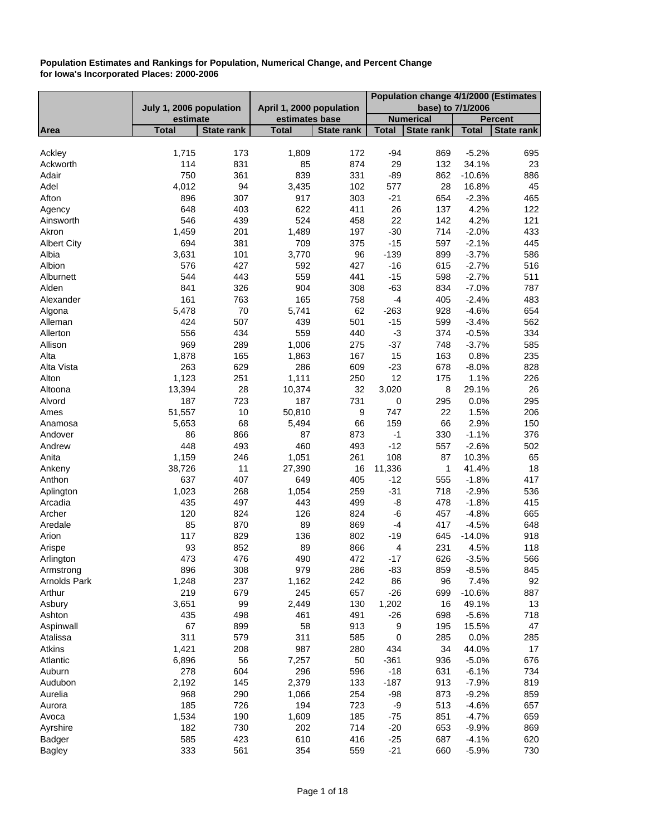|                    |                         |                   |                          |                   |                | Population change 4/1/2000 (Estimates |                    |                   |  |
|--------------------|-------------------------|-------------------|--------------------------|-------------------|----------------|---------------------------------------|--------------------|-------------------|--|
|                    | July 1, 2006 population |                   | April 1, 2000 population |                   |                | base) to 7/1/2006                     |                    |                   |  |
|                    | estimate                |                   | estimates base           |                   |                | <b>Numerical</b>                      |                    | <b>Percent</b>    |  |
| Area               | <b>Total</b>            | <b>State rank</b> | <b>Total</b>             | <b>State rank</b> | <b>Total</b>   | <b>State rank</b>                     | <b>Total</b>       | <b>State rank</b> |  |
| Ackley             | 1,715                   | 173               | 1,809                    | 172               | $-94$          | 869                                   | $-5.2%$            | 695               |  |
| Ackworth           | 114                     | 831               | 85                       | 874               | 29             | 132                                   | 34.1%              | 23                |  |
| Adair              | 750                     | 361               | 839                      | 331               | $-89$          | 862                                   | $-10.6%$           | 886               |  |
| Adel               | 4,012                   | 94                | 3,435                    | 102               | 577            | 28                                    | 16.8%              | 45                |  |
| Afton              | 896                     | 307               | 917                      | 303               | $-21$          | 654                                   | $-2.3%$            | 465               |  |
| Agency             | 648                     | 403               | 622                      | 411               | 26             | 137                                   | 4.2%               | 122               |  |
| Ainsworth          | 546                     | 439               | 524                      | 458               | 22             | 142                                   | 4.2%               | 121               |  |
| Akron              | 1,459                   | 201               | 1,489                    | 197               | $-30$          | 714                                   | $-2.0%$            | 433               |  |
| <b>Albert City</b> | 694                     | 381               | 709                      | 375               | $-15$          | 597                                   | $-2.1%$            | 445               |  |
| Albia              | 3,631                   | 101               | 3,770                    | 96                | $-139$         | 899                                   | $-3.7%$            | 586               |  |
| Albion             | 576                     | 427               | 592                      | 427               | $-16$          | 615                                   | $-2.7%$            | 516               |  |
| Alburnett          | 544                     | 443               | 559                      | 441               | $-15$          | 598                                   | $-2.7%$            | 511               |  |
| Alden              | 841                     | 326               | 904                      | 308               | $-63$          | 834                                   | $-7.0%$            | 787               |  |
| Alexander          | 161                     | 763               | 165                      | 758               | $-4$           | 405                                   | $-2.4%$            | 483               |  |
| Algona             | 5,478                   | 70                | 5,741                    | 62                | $-263$         | 928                                   | $-4.6%$            | 654               |  |
| Alleman            | 424                     | 507               | 439                      | 501               | $-15$          | 599                                   | $-3.4%$            | 562               |  |
| Allerton           | 556                     | 434               | 559                      | 440               | $-3$           | 374                                   | $-0.5%$            | 334               |  |
| Allison            | 969                     | 289               | 1,006                    | 275               | $-37$          | 748                                   | $-3.7%$            | 585               |  |
| Alta               | 1,878                   | 165               | 1,863                    | 167               | 15             | 163                                   | 0.8%               | 235               |  |
| Alta Vista         | 263                     | 629               | 286                      | 609               | $-23$          | 678                                   | $-8.0%$            | 828               |  |
| Alton              | 1,123                   | 251               | 1,111                    | 250               | 12             | 175                                   | 1.1%               | 226               |  |
| Altoona            | 13,394                  | 28                | 10,374                   | 32                | 3,020          | 8                                     | 29.1%              | 26                |  |
| Alvord             | 187                     | 723               | 187                      | 731               | 0              | 295                                   | 0.0%               | 295               |  |
| Ames               | 51,557                  | 10                | 50,810                   | 9                 | 747            | 22                                    | 1.5%               | 206               |  |
| Anamosa            | 5,653                   | 68                | 5,494                    | 66                | 159            | 66                                    | 2.9%               | 150               |  |
| Andover            | 86                      | 866               | 87                       | 873               | $-1$           | 330                                   | $-1.1%$            | 376               |  |
| Andrew             | 448                     | 493               | 460                      | 493               | $-12$          | 557                                   | $-2.6%$            | 502               |  |
| Anita              | 1,159                   | 246               | 1,051                    | 261               | 108            | 87                                    | 10.3%              | 65                |  |
| Ankeny             | 38,726                  | 11                | 27,390                   | 16                | 11,336         | 1                                     | 41.4%              | 18                |  |
| Anthon             | 637                     | 407               | 649                      | 405               | $-12$          | 555                                   | $-1.8%$            | 417               |  |
| Aplington          | 1,023                   | 268               | 1,054                    | 259               | $-31$          | 718                                   | $-2.9%$            | 536               |  |
| Arcadia            | 435                     | 497               | 443                      | 499               | -8             | 478                                   | $-1.8%$            | 415               |  |
| Archer             | 120                     | 824               | 126                      | 824               | -6             | 457                                   | $-4.8%$            | 665               |  |
| Aredale            | 85                      | 870               | 89                       | 869               | $-4$           | 417                                   | $-4.5%$            | 648               |  |
| Arion              | 117                     | 829               | 136                      | 802               | $-19$          | 645                                   | $-14.0%$           | 918               |  |
| Arispe             | 93                      | 852               | 89                       | 866               | 4              | 231                                   | 4.5%               | 118               |  |
| Arlington          | 473                     | 476               | 490                      | 472               | $-17$          | 626                                   | $-3.5%$<br>$-8.5%$ | 566               |  |
| Armstrong          | 896                     | 308               | 979                      | 286               | -83            | 859                                   |                    | 845               |  |
| Arnolds Park       | 1,248<br>219            | 237               | 1,162                    | 242               | 86             | 96                                    | 7.4%               | 92                |  |
| Arthur             |                         | 679<br>99         | 245                      | 657<br>130        | $-26$          | 699                                   | $-10.6%$           | 887<br>13         |  |
| Asbury<br>Ashton   | 3,651<br>435            | 498               | 2,449<br>461             | 491               | 1,202<br>$-26$ | 16<br>698                             | 49.1%<br>$-5.6%$   | 718               |  |
| Aspinwall          | 67                      | 899               | 58                       | 913               | 9              | 195                                   | 15.5%              | 47                |  |
| Atalissa           | 311                     | 579               | 311                      | 585               | 0              | 285                                   | 0.0%               | 285               |  |
| Atkins             | 1,421                   | 208               | 987                      | 280               | 434            | 34                                    | 44.0%              | 17                |  |
| Atlantic           | 6,896                   | 56                | 7,257                    | 50                | $-361$         | 936                                   | $-5.0%$            | 676               |  |
| Auburn             | 278                     | 604               | 296                      | 596               | $-18$          | 631                                   | $-6.1%$            | 734               |  |
| Audubon            | 2,192                   | 145               | 2,379                    | 133               | $-187$         | 913                                   | $-7.9%$            | 819               |  |
| Aurelia            | 968                     | 290               | 1,066                    | 254               | $-98$          | 873                                   | $-9.2%$            | 859               |  |
| Aurora             | 185                     | 726               | 194                      | 723               | -9             | 513                                   | $-4.6%$            | 657               |  |
| Avoca              | 1,534                   | 190               | 1,609                    | 185               | $-75$          | 851                                   | $-4.7%$            | 659               |  |
| Ayrshire           | 182                     | 730               | 202                      | 714               | $-20$          | 653                                   | $-9.9%$            | 869               |  |
| Badger             | 585                     | 423               | 610                      | 416               | $-25$          | 687                                   | $-4.1%$            | 620               |  |
| <b>Bagley</b>      | 333                     | 561               | 354                      | 559               | $-21$          | 660                                   | $-5.9%$            | 730               |  |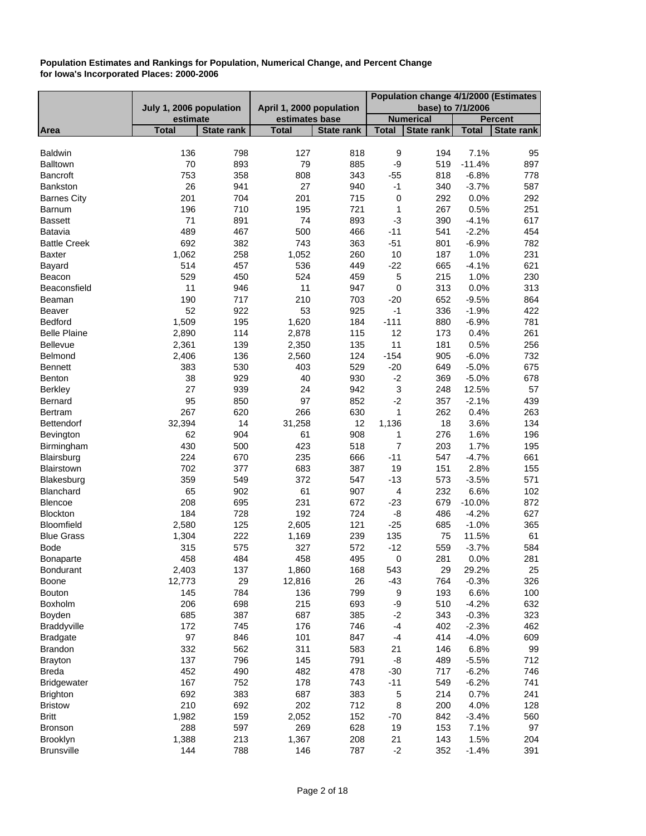|                     |                         |                   |                          |                   | Population change 4/1/2000 (Estimates |                   |              |                   |
|---------------------|-------------------------|-------------------|--------------------------|-------------------|---------------------------------------|-------------------|--------------|-------------------|
|                     | July 1, 2006 population |                   | April 1, 2000 population |                   |                                       | base) to 7/1/2006 |              |                   |
|                     | estimate                |                   | estimates base           |                   |                                       | <b>Numerical</b>  |              | Percent           |
| Area                | <b>Total</b>            | <b>State rank</b> | <b>Total</b>             | <b>State rank</b> | <b>Total</b>                          | <b>State rank</b> | <b>Total</b> | <b>State rank</b> |
|                     |                         |                   |                          |                   |                                       |                   |              |                   |
| <b>Baldwin</b>      | 136                     | 798               | 127                      | 818               | 9                                     | 194               | 7.1%         | 95                |
| <b>Balltown</b>     | 70                      | 893               | 79                       | 885               | -9                                    | 519               | $-11.4%$     | 897               |
| <b>Bancroft</b>     | 753                     | 358               | 808                      | 343               | $-55$                                 | 818               | $-6.8%$      | 778               |
| Bankston            | 26                      | 941               | 27                       | 940               | $-1$                                  | 340               | $-3.7%$      | 587               |
| <b>Barnes City</b>  | 201                     | 704               | 201                      | 715               | 0                                     | 292               | 0.0%         | 292               |
| Barnum              | 196                     | 710               | 195                      | 721               | $\mathbf 1$                           | 267               | 0.5%         | 251               |
| <b>Bassett</b>      | 71                      | 891               | 74                       | 893               | $-3$                                  | 390               | $-4.1%$      | 617               |
| Batavia             | 489                     | 467               | 500                      | 466               | $-11$                                 | 541               | $-2.2%$      | 454               |
| <b>Battle Creek</b> | 692                     | 382               | 743                      | 363               | $-51$                                 | 801               | $-6.9%$      | 782               |
| <b>Baxter</b>       | 1,062                   | 258               | 1,052                    | 260               | 10                                    | 187               | 1.0%         | 231               |
| Bayard              | 514                     | 457               | 536                      | 449               | $-22$                                 | 665               | $-4.1%$      | 621               |
| Beacon              | 529                     | 450               | 524                      | 459               | 5                                     | 215               | 1.0%         | 230               |
| Beaconsfield        | 11                      | 946               | 11                       | 947               | $\mathbf 0$                           | 313               | 0.0%         | 313               |
| Beaman              | 190                     | 717               | 210                      | 703               | $-20$                                 | 652               | $-9.5%$      | 864               |
| Beaver              | 52                      | 922               | 53                       | 925               | $-1$                                  | 336               | $-1.9%$      | 422               |
| Bedford             | 1,509                   | 195               | 1,620                    | 184               | $-111$                                | 880               | $-6.9%$      | 781               |
| <b>Belle Plaine</b> | 2,890                   | 114               | 2,878                    | 115               | 12                                    | 173               | 0.4%         | 261               |
| Bellevue            | 2,361                   | 139               | 2,350                    | 135               | 11                                    | 181               | 0.5%         | 256               |
| Belmond             | 2,406                   | 136               | 2,560                    | 124               | $-154$                                | 905               | $-6.0%$      | 732               |
| <b>Bennett</b>      | 383                     | 530               | 403                      | 529               | $-20$                                 | 649               | $-5.0%$      | 675               |
| <b>Benton</b>       | 38                      | 929               | 40                       | 930               | $-2$                                  | 369               | $-5.0%$      | 678               |
| <b>Berkley</b>      | 27                      | 939               | 24                       | 942               | $\ensuremath{\mathsf{3}}$             | 248               | 12.5%        | 57                |
| Bernard             | 95                      | 850               | 97                       | 852               | $-2$                                  | 357               | $-2.1%$      | 439               |
|                     | 267                     | 620               | 266                      | 630               | $\mathbf{1}$                          | 262               | 0.4%         | 263               |
| Bertram             |                         | 14                |                          | 12                |                                       | 18                | 3.6%         | 134               |
| Bettendorf          | 32,394                  |                   | 31,258                   |                   | 1,136                                 |                   |              |                   |
| Bevington           | 62                      | 904               | 61                       | 908               | 1<br>$\overline{7}$                   | 276               | 1.6%         | 196               |
| Birmingham          | 430                     | 500               | 423                      | 518               |                                       | 203               | 1.7%         | 195               |
| Blairsburg          | 224                     | 670               | 235                      | 666               | $-11$                                 | 547               | $-4.7%$      | 661               |
| Blairstown          | 702                     | 377               | 683                      | 387               | 19                                    | 151               | 2.8%         | 155               |
| Blakesburg          | 359                     | 549               | 372                      | 547               | $-13$                                 | 573               | $-3.5%$      | 571               |
| Blanchard           | 65                      | 902               | 61                       | 907               | $\overline{\mathcal{A}}$              | 232               | 6.6%         | 102               |
| Blencoe             | 208                     | 695               | 231                      | 672               | $-23$                                 | 679               | $-10.0%$     | 872               |
| <b>Blockton</b>     | 184                     | 728               | 192                      | 724               | -8                                    | 486               | $-4.2%$      | 627               |
| Bloomfield          | 2,580                   | 125               | 2,605                    | 121               | $-25$                                 | 685               | $-1.0%$      | 365               |
| <b>Blue Grass</b>   | 1,304                   | 222               | 1,169                    | 239               | 135                                   | 75                | 11.5%        | 61                |
| <b>Bode</b>         | 315                     | 575               | 327                      | 572               | $-12$                                 | 559               | $-3.7%$      | 584               |
| <b>Bonaparte</b>    | 458                     | 484               | 458                      | 495               | 0                                     | 281               | 0.0%         | 281               |
| Bondurant           | 2,403                   | 137               | 1,860                    | 168               | 543                                   | 29                | 29.2%        | 25                |
| Boone               | 12,773                  | 29                | 12,816                   | 26                | $-43$                                 | 764               | $-0.3%$      | 326               |
| <b>Bouton</b>       | 145                     | 784               | 136                      | 799               | 9                                     | 193               | 6.6%         | 100               |
| <b>Boxholm</b>      | 206                     | 698               | 215                      | 693               | -9                                    | 510               | $-4.2%$      | 632               |
| Boyden              | 685                     | 387               | 687                      | 385               | $-2$                                  | 343               | $-0.3%$      | 323               |
| <b>Braddyville</b>  | 172                     | 745               | 176                      | 746               | $-4$                                  | 402               | $-2.3%$      | 462               |
| <b>Bradgate</b>     | 97                      | 846               | 101                      | 847               | $-4$                                  | 414               | $-4.0%$      | 609               |
| <b>Brandon</b>      | 332                     | 562               | 311                      | 583               | 21                                    | 146               | 6.8%         | 99                |
| <b>Brayton</b>      | 137                     | 796               | 145                      | 791               | -8                                    | 489               | $-5.5%$      | 712               |
| <b>Breda</b>        | 452                     | 490               | 482                      | 478               | $-30$                                 | 717               | $-6.2%$      | 746               |
| <b>Bridgewater</b>  | 167                     | 752               | 178                      | 743               | $-11$                                 | 549               | $-6.2%$      | 741               |
| <b>Brighton</b>     | 692                     | 383               | 687                      | 383               | 5                                     | 214               | 0.7%         | 241               |
| <b>Bristow</b>      | 210                     | 692               | 202                      | 712               | $\,8\,$                               | 200               | 4.0%         | 128               |
| <b>Britt</b>        | 1,982                   | 159               | 2,052                    | 152               | $-70$                                 | 842               | $-3.4%$      | 560               |
| <b>Bronson</b>      | 288                     | 597               | 269                      | 628               | 19                                    | 153               | 7.1%         | 97                |
| Brooklyn            | 1,388                   | 213               | 1,367                    | 208               | 21                                    | 143               | 1.5%         | 204               |
| <b>Brunsville</b>   | 144                     | 788               | 146                      | 787               | $-2$                                  | 352               | $-1.4%$      | 391               |
|                     |                         |                   |                          |                   |                                       |                   |              |                   |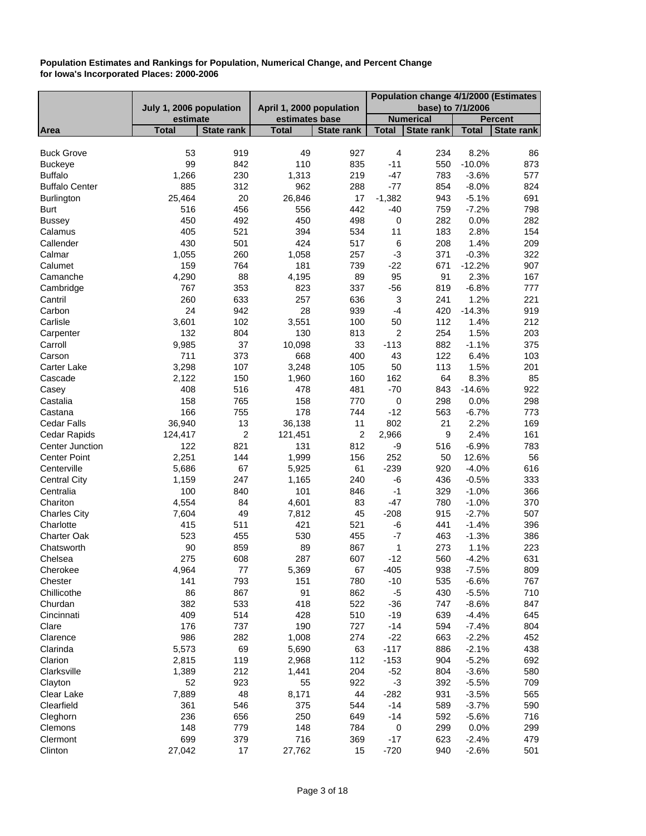|                       |                         |                   |                          |                   | Population change 4/1/2000 (Estimates |                   |              |                   |
|-----------------------|-------------------------|-------------------|--------------------------|-------------------|---------------------------------------|-------------------|--------------|-------------------|
|                       | July 1, 2006 population |                   | April 1, 2000 population |                   |                                       | base) to 7/1/2006 |              |                   |
|                       | estimate                |                   | estimates base           |                   |                                       | <b>Numerical</b>  |              | <b>Percent</b>    |
| Area                  | <b>Total</b>            | <b>State rank</b> | <b>Total</b>             | <b>State rank</b> | <b>Total</b>                          | <b>State rank</b> | <b>Total</b> | <b>State rank</b> |
|                       |                         |                   |                          |                   |                                       |                   |              |                   |
| <b>Buck Grove</b>     | 53<br>99                | 919               | 49                       | 927               | 4                                     | 234               | 8.2%         | 86                |
| <b>Buckeye</b>        |                         | 842               | 110                      | 835               | $-11$                                 | 550               | $-10.0%$     | 873               |
| <b>Buffalo</b>        | 1,266                   | 230               | 1,313                    | 219               | $-47$                                 | 783               | $-3.6%$      | 577               |
| <b>Buffalo Center</b> | 885                     | 312               | 962                      | 288               | $-77$                                 | 854               | $-8.0%$      | 824               |
| Burlington            | 25,464                  | 20                | 26,846                   | 17                | $-1,382$                              | 943               | $-5.1%$      | 691               |
| <b>Burt</b>           | 516                     | 456               | 556                      | 442               | $-40$                                 | 759               | $-7.2%$      | 798               |
| <b>Bussey</b>         | 450                     | 492               | 450                      | 498               | 0                                     | 282               | 0.0%         | 282               |
| Calamus               | 405                     | 521               | 394                      | 534               | 11                                    | 183               | 2.8%         | 154               |
| Callender             | 430                     | 501               | 424                      | 517               | $\,6$                                 | 208               | 1.4%         | 209               |
| Calmar                | 1,055                   | 260               | 1,058                    | 257               | $-3$                                  | 371               | $-0.3%$      | 322               |
| Calumet               | 159                     | 764               | 181                      | 739               | $-22$                                 | 671               | $-12.2%$     | 907               |
| Camanche              | 4,290                   | 88                | 4,195                    | 89                | 95                                    | 91                | 2.3%         | 167               |
| Cambridge             | 767                     | 353               | 823                      | 337               | $-56$                                 | 819               | $-6.8%$      | 777               |
| Cantril               | 260                     | 633               | 257                      | 636               | $\ensuremath{\mathsf{3}}$             | 241               | 1.2%         | 221               |
| Carbon                | 24                      | 942               | 28                       | 939               | $-4$                                  | 420               | $-14.3%$     | 919               |
| Carlisle              | 3,601                   | 102               | 3,551                    | 100               | 50                                    | 112               | 1.4%         | 212               |
| Carpenter             | 132                     | 804               | 130                      | 813               | $\boldsymbol{2}$                      | 254               | 1.5%         | 203               |
| Carroll               | 9,985                   | 37                | 10,098                   | 33                | $-113$                                | 882               | $-1.1%$      | 375               |
| Carson                | 711                     | 373               | 668                      | 400               | 43                                    | 122               | 6.4%         | 103               |
| Carter Lake           | 3,298                   | 107               | 3,248                    | 105               | 50                                    | 113               | 1.5%         | 201               |
| Cascade               | 2,122                   | 150               | 1,960                    | 160               | 162                                   | 64                | 8.3%         | 85                |
| Casey                 | 408                     | 516               | 478                      | 481               | $-70$                                 | 843               | $-14.6%$     | 922               |
| Castalia              | 158                     | 765               | 158                      | 770               | $\pmb{0}$                             | 298               | 0.0%         | 298               |
| Castana               | 166                     | 755               | 178                      | 744               | $-12$                                 | 563               | $-6.7%$      | 773               |
| Cedar Falls           | 36,940                  | 13                | 36,138                   | 11                | 802                                   | 21                | 2.2%         | 169               |
| Cedar Rapids          | 124,417                 | $\overline{2}$    | 121,451                  | 2                 | 2,966                                 | 9                 | 2.4%         | 161               |
| Center Junction       | 122                     | 821               | 131                      | 812               | -9                                    | 516               | $-6.9%$      | 783               |
| <b>Center Point</b>   | 2,251                   | 144               | 1,999                    | 156               | 252                                   | 50                | 12.6%        | 56                |
| Centerville           | 5,686                   | 67                | 5,925                    | 61                | $-239$                                | 920               | $-4.0%$      | 616               |
| <b>Central City</b>   | 1,159                   | 247               | 1,165                    | 240               | -6                                    | 436               | $-0.5%$      | 333               |
| Centralia             | 100                     | 840               | 101                      | 846               | $-1$                                  | 329               | $-1.0%$      | 366               |
| Chariton              | 4,554                   | 84                | 4,601                    | 83                | $-47$                                 | 780               | $-1.0%$      | 370               |
| <b>Charles City</b>   | 7,604                   | 49                | 7,812                    | 45                | $-208$                                | 915               | $-2.7%$      | 507               |
| Charlotte             | 415                     | 511               | 421                      | 521               | -6                                    | 441               | $-1.4%$      | 396               |
| Charter Oak           | 523                     | 455               | 530                      | 455               | $-7$                                  | 463               | $-1.3%$      | 386               |
| Chatsworth            | 90                      | 859               | 89                       | 867               | 1                                     | 273               | 1.1%         | 223               |
| Chelsea               | 275                     | 608               | 287                      | 607               | $-12$                                 | 560               | $-4.2%$      | 631               |
| Cherokee              | 4,964                   | 77                | 5,369                    | 67                | $-405$                                | 938               | $-7.5%$      | 809               |
| Chester               | 141                     | 793               | 151                      | 780               | $-10$                                 | 535               | $-6.6%$      | 767               |
| Chillicothe           | 86                      | 867               | 91                       | 862               | $-5$                                  | 430               | $-5.5%$      | 710               |
| Churdan               | 382                     | 533               | 418                      | 522               | $-36$                                 | 747               | $-8.6%$      | 847               |
| Cincinnati            | 409                     | 514               | 428                      | 510               | $-19$                                 | 639               | $-4.4%$      | 645               |
| Clare                 | 176                     | 737               | 190                      | 727               | $-14$                                 | 594               | $-7.4%$      | 804               |
| Clarence              | 986                     | 282               | 1,008                    | 274               | $-22$                                 | 663               | $-2.2%$      | 452               |
|                       | 5,573                   | 69                |                          | 63                |                                       |                   |              |                   |
| Clarinda              |                         |                   | 5,690                    |                   | $-117$                                | 886               | $-2.1%$      | 438               |
| Clarion               | 2,815                   | 119               | 2,968                    | 112               | $-153$                                | 904               | $-5.2%$      | 692               |
| Clarksville           | 1,389                   | 212               | 1,441                    | 204               | $-52$                                 | 804               | $-3.6%$      | 580               |
| Clayton               | 52                      | 923               | 55                       | 922               | $-3$                                  | 392               | $-5.5%$      | 709               |
| Clear Lake            | 7,889                   | 48                | 8,171                    | 44                | $-282$                                | 931               | $-3.5%$      | 565               |
| Clearfield            | 361                     | 546               | 375                      | 544               | $-14$                                 | 589               | $-3.7%$      | 590               |
| Cleghorn              | 236                     | 656               | 250                      | 649               | $-14$                                 | 592               | $-5.6%$      | 716               |
| Clemons               | 148                     | 779               | 148                      | 784               | 0                                     | 299               | 0.0%         | 299               |
| Clermont              | 699                     | 379               | 716                      | 369               | $-17$                                 | 623               | $-2.4%$      | 479               |
| Clinton               | 27,042                  | 17                | 27,762                   | 15                | $-720$                                | 940               | $-2.6%$      | 501               |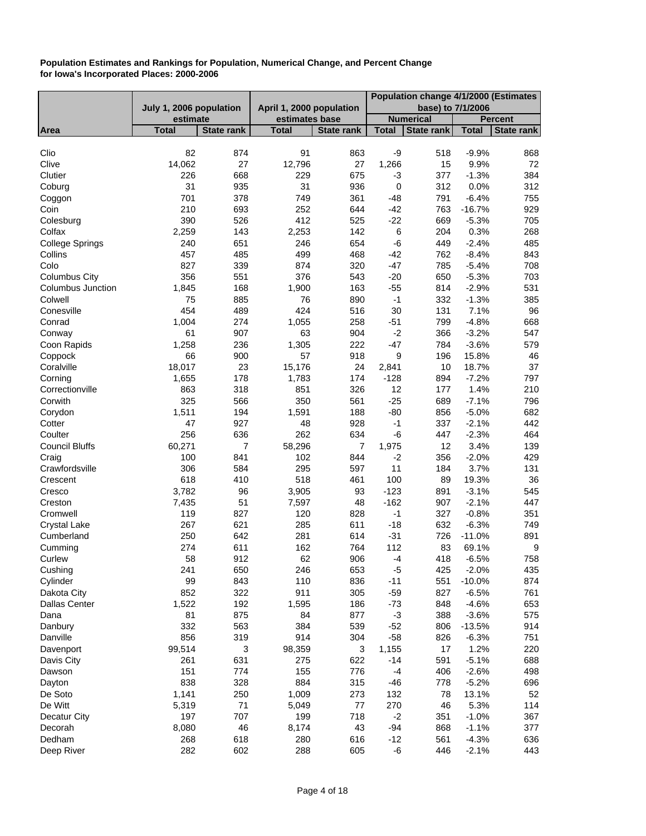|                          |                         |                           |                          |                   |              | Population change 4/1/2000 (Estimates |              |                   |
|--------------------------|-------------------------|---------------------------|--------------------------|-------------------|--------------|---------------------------------------|--------------|-------------------|
|                          | July 1, 2006 population |                           | April 1, 2000 population |                   |              | base) to 7/1/2006                     |              |                   |
|                          | estimate                |                           | estimates base           |                   |              | <b>Numerical</b>                      |              | <b>Percent</b>    |
| Area                     | <b>Total</b>            | <b>State rank</b>         | <b>Total</b>             | <b>State rank</b> | <b>Total</b> | <b>State rank</b>                     | <b>Total</b> | <b>State rank</b> |
|                          |                         |                           |                          |                   |              |                                       |              |                   |
| Clio                     | 82                      | 874                       | 91                       | 863               | -9           | 518                                   | $-9.9%$      | 868               |
| Clive                    | 14,062                  | 27                        | 12,796                   | 27                | 1,266        | 15                                    | 9.9%         | 72                |
| Clutier                  | 226                     | 668                       | 229                      | 675               | -3           | 377                                   | $-1.3%$      | 384               |
| Coburg                   | 31                      | 935                       | 31                       | 936               | $\pmb{0}$    | 312                                   | 0.0%         | 312               |
| Coggon                   | 701                     | 378                       | 749                      | 361               | $-48$        | 791                                   | $-6.4%$      | 755               |
| Coin                     | 210                     | 693                       | 252                      | 644               | $-42$        | 763                                   | $-16.7%$     | 929               |
| Colesburg                | 390                     | 526                       | 412                      | 525               | $-22$        | 669                                   | $-5.3%$      | 705               |
| Colfax                   | 2,259                   | 143                       | 2,253                    | 142               | 6            | 204                                   | 0.3%         | 268               |
| <b>College Springs</b>   | 240                     | 651                       | 246                      | 654               | $-6$         | 449                                   | $-2.4%$      | 485               |
| Collins                  | 457                     | 485                       | 499                      | 468               | $-42$        | 762                                   | $-8.4%$      | 843               |
| Colo                     | 827                     | 339                       | 874                      | 320               | $-47$        | 785                                   | $-5.4%$      | 708               |
| <b>Columbus City</b>     | 356                     | 551                       | 376                      | 543               | $-20$        | 650                                   | $-5.3%$      | 703               |
| <b>Columbus Junction</b> | 1,845                   | 168                       | 1,900                    | 163               | $-55$        | 814                                   | $-2.9%$      | 531               |
| Colwell                  | 75                      | 885                       | 76                       | 890               | $-1$         | 332                                   | $-1.3%$      | 385               |
| Conesville               | 454                     | 489                       | 424                      | 516               | 30           | 131                                   | 7.1%         | 96                |
| Conrad                   | 1,004                   | 274                       | 1,055                    | 258               | $-51$        | 799                                   | $-4.8%$      | 668               |
| Conway                   | 61                      | 907                       | 63                       | 904               | $-2$         | 366                                   | $-3.2%$      | 547               |
| Coon Rapids              | 1,258                   | 236                       | 1,305                    | 222               | $-47$        | 784                                   | $-3.6%$      | 579               |
| Coppock                  | 66                      | 900                       | 57                       | 918               | 9            | 196                                   | 15.8%        | 46                |
| Coralville               | 18,017                  | 23                        | 15,176                   | 24                | 2,841        | 10                                    | 18.7%        | 37                |
| Corning                  | 1,655                   | 178                       | 1,783                    | 174               | $-128$       | 894                                   | $-7.2%$      | 797               |
| Correctionville          | 863                     | 318                       | 851                      | 326               | 12           | 177                                   | 1.4%         | 210               |
| Corwith                  | 325                     | 566                       | 350                      | 561               | $-25$        | 689                                   | $-7.1%$      | 796               |
| Corydon                  | 1,511                   | 194                       | 1,591                    | 188               | $-80$        | 856                                   | $-5.0%$      | 682               |
| Cotter                   | 47                      | 927                       | 48                       | 928               | $-1$         | 337                                   | $-2.1%$      | 442               |
| Coulter                  | 256                     | 636                       | 262                      | 634               | -6           | 447                                   | $-2.3%$      | 464               |
| <b>Council Bluffs</b>    | 60,271                  | 7                         | 58,296                   | $\overline{7}$    | 1,975        | 12                                    | 3.4%         | 139               |
| Craig                    | 100                     | 841                       | 102                      | 844               | $-2$         | 356                                   | $-2.0%$      | 429               |
| Crawfordsville           | 306                     | 584                       | 295                      | 597               | 11           | 184                                   | 3.7%         | 131               |
| Crescent                 | 618                     | 410                       | 518                      | 461               | 100          | 89                                    | 19.3%        | 36                |
| Cresco                   | 3,782                   | 96                        | 3,905                    | 93                | $-123$       | 891                                   | $-3.1%$      | 545               |
| Creston                  | 7,435                   | 51                        | 7,597                    | 48                | $-162$       | 907                                   | $-2.1%$      | 447               |
| Cromwell                 | 119                     | 827                       | 120                      | 828               | $-1$         | 327                                   | $-0.8%$      | 351               |
| <b>Crystal Lake</b>      | 267                     | 621                       | 285                      | 611               | $-18$        | 632                                   | $-6.3%$      | 749               |
| Cumberland               | 250                     | 642                       | 281                      | 614               | $-31$        | 726                                   | $-11.0%$     | 891               |
| Cumming                  | 274                     | 611                       | 162                      | 764               | 112          | 83                                    | 69.1%        | 9                 |
| Curlew                   | 58                      | 912                       | 62                       | 906               | $-4$         | 418                                   | $-6.5%$      | 758               |
| Cushing                  | 241                     | 650                       | 246                      | 653               | $-5$         | 425                                   | $-2.0%$      | 435               |
| Cylinder                 | 99                      | 843                       | 110                      | 836               | $-11$        | 551                                   | $-10.0%$     | 874               |
| Dakota City              | 852                     | 322                       | 911                      | 305               | $-59$        | 827                                   | $-6.5%$      | 761               |
| <b>Dallas Center</b>     | 1,522                   | 192                       | 1,595                    | 186               | $-73$        | 848                                   | $-4.6%$      | 653               |
| Dana                     | 81                      | 875                       | 84                       | 877               | $-3$         | 388                                   | $-3.6%$      | 575               |
| Danbury                  | 332                     | 563                       | 384                      | 539               | $-52$        | 806                                   | $-13.5%$     | 914               |
| Danville                 | 856                     | 319                       | 914                      | 304               | $-58$        | 826                                   | $-6.3%$      | 751               |
|                          | 99,514                  | $\ensuremath{\mathsf{3}}$ | 98,359                   | 3                 | 1,155        | 17                                    | 1.2%         | 220               |
| Davenport                | 261                     | 631                       | 275                      |                   | $-14$        |                                       | $-5.1%$      | 688               |
| Davis City<br>Dawson     | 151                     | 774                       | 155                      | 622<br>776        | $-4$         | 591                                   | $-2.6%$      |                   |
|                          |                         |                           |                          |                   |              | 406                                   |              | 498               |
| Dayton                   | 838                     | 328                       | 884                      | 315               | $-46$        | 778                                   | $-5.2%$      | 696               |
| De Soto                  | 1,141                   | 250                       | 1,009                    | 273               | 132          | 78                                    | 13.1%        | 52                |
| De Witt                  | 5,319                   | 71                        | 5,049                    | 77                | 270          | 46                                    | 5.3%         | 114               |
| Decatur City             | 197                     | 707                       | 199                      | 718               | $-2$         | 351                                   | $-1.0%$      | 367               |
| Decorah                  | 8,080                   | 46                        | 8,174                    | 43                | -94          | 868                                   | $-1.1%$      | 377               |
| Dedham                   | 268                     | 618                       | 280                      | 616               | $-12$        | 561                                   | $-4.3%$      | 636               |
| Deep River               | 282                     | 602                       | 288                      | 605               | -6           | 446                                   | $-2.1%$      | 443               |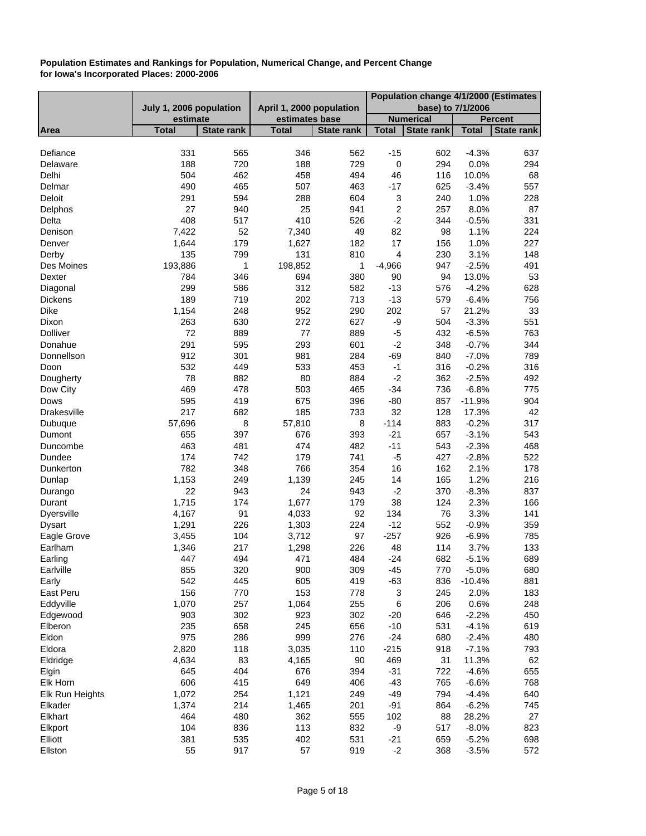|                    |                         |                   |                          |                   |                  | Population change 4/1/2000 (Estimates |              |                   |
|--------------------|-------------------------|-------------------|--------------------------|-------------------|------------------|---------------------------------------|--------------|-------------------|
|                    | July 1, 2006 population |                   | April 1, 2000 population |                   |                  | base) to 7/1/2006                     |              |                   |
|                    | estimate                |                   | estimates base           |                   |                  | <b>Numerical</b>                      |              | <b>Percent</b>    |
| Area               | <b>Total</b>            | <b>State rank</b> | <b>Total</b>             | <b>State rank</b> | <b>Total</b>     | <b>State rank</b>                     | <b>Total</b> | <b>State rank</b> |
| Defiance           | 331                     | 565               | 346                      | 562               | $-15$            | 602                                   | $-4.3%$      | 637               |
| Delaware           | 188                     | 720               | 188                      | 729               | $\boldsymbol{0}$ | 294                                   | 0.0%         | 294               |
| Delhi              | 504                     | 462               | 458                      | 494               | 46               | 116                                   | 10.0%        | 68                |
| Delmar             | 490                     | 465               | 507                      | 463               | $-17$            | 625                                   | $-3.4%$      | 557               |
| Deloit             | 291                     | 594               | 288                      | 604               | 3                | 240                                   | 1.0%         | 228               |
| Delphos            | 27                      | 940               | 25                       | 941               | 2                | 257                                   | 8.0%         | 87                |
| Delta              | 408                     | 517               | 410                      | 526               | $-2$             | 344                                   | $-0.5%$      | 331               |
| Denison            | 7,422                   | 52                | 7,340                    | 49                | 82               | 98                                    | 1.1%         | 224               |
| Denver             | 1,644                   | 179               | 1,627                    | 182               | 17               | 156                                   | 1.0%         | 227               |
| Derby              | 135                     | 799               | 131                      | 810               | $\overline{4}$   | 230                                   | 3.1%         | 148               |
| Des Moines         | 193,886                 | 1                 | 198,852                  | 1                 | $-4,966$         | 947                                   | $-2.5%$      | 491               |
| Dexter             | 784                     | 346               | 694                      | 380               | 90               | 94                                    | 13.0%        | 53                |
| Diagonal           | 299                     | 586               | 312                      | 582               | $-13$            | 576                                   | $-4.2%$      | 628               |
| Dickens            | 189                     | 719               | 202                      | 713               | $-13$            | 579                                   | $-6.4%$      | 756               |
| <b>Dike</b>        | 1,154                   | 248               | 952                      | 290               | 202              | 57                                    | 21.2%        | 33                |
| Dixon              | 263                     | 630               | 272                      | 627               | -9               | 504                                   | $-3.3%$      | 551               |
| <b>Dolliver</b>    | 72                      | 889               | 77                       | 889               | $-5$             | 432                                   | $-6.5%$      | 763               |
| Donahue            | 291                     | 595               | 293                      | 601               | $-2$             | 348                                   | $-0.7%$      | 344               |
| Donnellson         | 912                     | 301               | 981                      | 284               | $-69$            | 840                                   | $-7.0%$      | 789               |
| Doon               | 532                     | 449               | 533                      | 453               | $-1$             | 316                                   | $-0.2%$      | 316               |
| Dougherty          | 78                      | 882               | 80                       | 884               | $-2$             | 362                                   | $-2.5%$      | 492               |
| Dow City           | 469                     | 478               | 503                      | 465               | $-34$            | 736                                   | $-6.8%$      | 775               |
| Dows               | 595                     | 419               | 675                      | 396               | $-80$            | 857                                   | $-11.9%$     | 904               |
| <b>Drakesville</b> | 217                     | 682               | 185                      | 733               | 32               | 128                                   | 17.3%        | 42                |
| Dubuque            | 57,696                  | 8                 | 57,810                   | 8                 | $-114$           | 883                                   | $-0.2%$      | 317               |
| Dumont             | 655                     | 397               | 676                      | 393               | $-21$            | 657                                   | $-3.1%$      | 543               |
| Duncombe           | 463                     | 481               | 474                      | 482               | $-11$            | 543                                   | $-2.3%$      | 468               |
| Dundee             | 174                     | 742               | 179                      | 741               | $-5$             | 427                                   | $-2.8%$      | 522               |
| Dunkerton          | 782                     | 348               | 766                      | 354               | 16               | 162                                   | 2.1%         | 178               |
| Dunlap             | 1,153                   | 249               | 1,139                    | 245               | 14               | 165                                   | 1.2%         | 216               |
| Durango            | 22                      | 943               | 24                       | 943               | $-2$             | 370                                   | $-8.3%$      | 837               |
| Durant             | 1,715                   | 174               | 1,677                    | 179               | 38               | 124                                   | 2.3%         | 166               |
| <b>Dyersville</b>  | 4,167                   | 91                | 4,033                    | 92                | 134              | 76                                    | 3.3%         | 141               |
| <b>Dysart</b>      | 1,291                   | 226               | 1,303                    | 224               | $-12$            | 552                                   | $-0.9%$      | 359               |
| Eagle Grove        | 3,455                   | 104               | 3,712                    | 97                | $-257$           | 926                                   | $-6.9%$      | 785               |
| Earlham            | 1,346                   | 217               | 1,298                    | 226               | 48               | 114                                   | 3.7%         | 133               |
| Earling            | 447                     | 494               | 471                      | 484               | $-24$            | 682                                   | $-5.1%$      | 689               |
| Earlville          | 855                     | 320               | 900                      | 309               | $-45$            | 770                                   | $-5.0%$      | 680               |
| Early              | 542                     | 445               | 605                      | 419               | $-63$            | 836                                   | $-10.4%$     | 881               |
| East Peru          | 156                     | 770               | 153                      | 778               | 3                | 245                                   | 2.0%         | 183               |
| Eddyville          | 1,070                   | 257               | 1,064                    | 255               | $\,6$            | 206                                   | 0.6%         | 248               |
| Edgewood           | 903                     | 302               | 923                      | 302               | $-20$            | 646                                   | $-2.2%$      | 450               |
| Elberon            | 235                     | 658               | 245                      | 656               | $-10$            | 531                                   | $-4.1%$      | 619               |
| Eldon              | 975                     | 286               | 999                      | 276               | $-24$            | 680                                   | $-2.4%$      | 480               |
| Eldora             | 2,820                   | 118               | 3,035                    | 110               | $-215$           | 918                                   | $-7.1%$      | 793               |
| Eldridge           | 4,634                   | 83                | 4,165                    | 90                | 469              | 31                                    | 11.3%        | 62                |
| Elgin              | 645                     | 404               | 676                      | 394               | $-31$            | 722                                   | $-4.6%$      | 655               |
| Elk Horn           | 606                     | 415               | 649                      | 406               | $-43$            | 765                                   | $-6.6%$      | 768               |
| Elk Run Heights    | 1,072                   | 254               | 1,121                    | 249               | $-49$            | 794                                   | $-4.4%$      | 640               |
| Elkader            | 1,374                   | 214               | 1,465                    | 201               | $-91$            | 864                                   | $-6.2%$      | 745               |
| Elkhart            | 464                     | 480               | 362                      | 555               | 102              | 88                                    | 28.2%        | 27                |
| Elkport            | 104                     | 836               | 113                      | 832               | -9               | 517                                   | $-8.0%$      | 823               |
| Elliott            | 381                     | 535               | 402                      | 531               | $-21$            | 659                                   | $-5.2%$      | 698               |
| Ellston            | 55                      | 917               | 57                       | 919               | $-2$             | 368                                   | $-3.5%$      | 572               |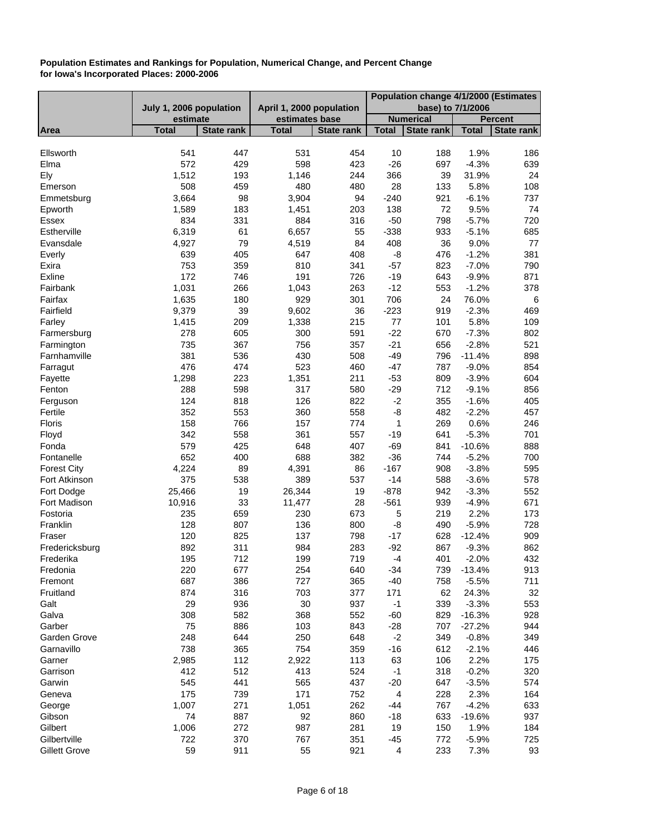|                      |                         |                   |                          |                   | Population change 4/1/2000 (Estimates |                   |              |                   |
|----------------------|-------------------------|-------------------|--------------------------|-------------------|---------------------------------------|-------------------|--------------|-------------------|
|                      | July 1, 2006 population |                   | April 1, 2000 population |                   |                                       | base) to 7/1/2006 |              |                   |
|                      | estimate                |                   | estimates base           |                   |                                       | <b>Numerical</b>  |              | <b>Percent</b>    |
| Area                 | <b>Total</b>            | <b>State rank</b> | <b>Total</b>             | <b>State rank</b> | <b>Total</b>                          | <b>State rank</b> | <b>Total</b> | <b>State rank</b> |
| Ellsworth            | 541                     | 447               | 531                      | 454               | 10                                    | 188               | 1.9%         | 186               |
| Elma                 | 572                     | 429               | 598                      | 423               | $-26$                                 | 697               | $-4.3%$      | 639               |
| Ely                  | 1,512                   | 193               | 1,146                    | 244               | 366                                   | 39                | 31.9%        | 24                |
| Emerson              | 508                     | 459               | 480                      | 480               | 28                                    | 133               | 5.8%         | 108               |
| Emmetsburg           | 3,664                   | 98                | 3,904                    | 94                | $-240$                                | 921               | $-6.1%$      | 737               |
| Epworth              | 1,589                   | 183               | 1,451                    | 203               | 138                                   | 72                | 9.5%         | 74                |
| <b>Essex</b>         | 834                     | 331               | 884                      | 316               | $-50$                                 | 798               | $-5.7%$      | 720               |
| Estherville          | 6,319                   | 61                | 6,657                    | 55                | $-338$                                | 933               | $-5.1%$      | 685               |
| Evansdale            | 4,927                   | 79                | 4,519                    | 84                | 408                                   | 36                | 9.0%         | 77                |
| Everly               | 639                     | 405               | 647                      | 408               | -8                                    | 476               | $-1.2%$      | 381               |
| Exira                | 753                     | 359               | 810                      | 341               | $-57$                                 | 823               | $-7.0%$      | 790               |
| Exline               | 172                     | 746               | 191                      | 726               | $-19$                                 | 643               | $-9.9%$      | 871               |
| Fairbank             | 1,031                   | 266               | 1,043                    | 263               | $-12$                                 | 553               | $-1.2%$      | 378               |
| Fairfax              | 1,635                   | 180               | 929                      | 301               | 706                                   | 24                | 76.0%        | 6                 |
| Fairfield            | 9,379                   | 39                | 9,602                    | 36                | $-223$                                | 919               | $-2.3%$      | 469               |
| Farley               | 1,415                   | 209               | 1,338                    | 215               | 77                                    | 101               | 5.8%         | 109               |
| Farmersburg          | 278                     | 605               | 300                      | 591               | $-22$                                 | 670               | $-7.3%$      | 802               |
| Farmington           | 735                     | 367               | 756                      | 357               | $-21$                                 | 656               | $-2.8%$      | 521               |
| Farnhamville         | 381                     | 536               | 430                      | 508               | $-49$                                 | 796               | $-11.4%$     | 898               |
| Farragut             | 476                     | 474               | 523                      | 460               | $-47$                                 | 787               | $-9.0%$      | 854               |
| Fayette              | 1,298                   | 223               | 1,351                    | 211               | $-53$                                 | 809               | $-3.9%$      | 604               |
| Fenton               | 288                     | 598               | 317                      | 580               | $-29$                                 | 712               | $-9.1%$      | 856               |
| Ferguson             | 124                     | 818               | 126                      | 822               | $-2$                                  | 355               | $-1.6%$      | 405               |
| Fertile              | 352                     | 553               | 360                      | 558               | -8                                    | 482               | $-2.2%$      | 457               |
| Floris               | 158                     | 766               | 157                      | 774               | $\mathbf 1$                           | 269               | 0.6%         | 246               |
| Floyd                | 342                     | 558               | 361                      | 557               | $-19$                                 | 641               | $-5.3%$      | 701               |
| Fonda                | 579                     | 425               | 648                      | 407               | $-69$                                 | 841               | $-10.6%$     | 888               |
| Fontanelle           | 652                     | 400               | 688                      | 382               | $-36$                                 | 744               | $-5.2%$      | 700               |
| <b>Forest City</b>   | 4,224                   | 89                | 4,391                    | 86                | $-167$                                | 908               | $-3.8%$      | 595               |
| Fort Atkinson        | 375                     | 538               | 389                      | 537               | $-14$                                 | 588               | $-3.6%$      | 578               |
| Fort Dodge           | 25,466                  | 19                | 26,344                   | 19                | $-878$                                | 942               | $-3.3%$      | 552               |
| Fort Madison         | 10,916                  | 33                | 11,477                   | 28                | $-561$                                | 939               | $-4.9%$      | 671               |
| Fostoria             | 235                     | 659               | 230                      | 673               | $\mathbf 5$                           | 219               | 2.2%         | 173               |
| Franklin             | 128                     | 807               | 136                      | 800               | -8                                    | 490               | $-5.9%$      | 728               |
| Fraser               | 120                     | 825               | 137                      | 798               | $-17$                                 | 628               | $-12.4%$     | 909               |
| Fredericksburg       | 892                     | 311               | 984                      | 283               | $-92$                                 | 867               | $-9.3%$      | 862               |
| Frederika            | 195                     | 712               | 199                      | 719               | $-4$                                  | 401               | $-2.0%$      | 432               |
| Fredonia             | 220                     | 677               | 254                      | 640               | $-34$                                 | 739               | $-13.4%$     | 913               |
| Fremont              | 687                     | 386               | 727                      | 365               | $-40$                                 | 758               | $-5.5%$      | 711               |
| Fruitland            | 874                     | 316               | 703                      | 377               | 171                                   | 62                | 24.3%        | 32                |
| Galt                 | 29                      | 936               | 30                       | 937               | $-1$                                  | 339               | $-3.3%$      | 553               |
| Galva                | 308                     | 582               | 368                      | 552               | $-60$                                 | 829               | $-16.3%$     | 928               |
| Garber               | 75                      | 886               | 103                      | 843               | $-28$                                 | 707               | $-27.2%$     | 944               |
| Garden Grove         | 248                     | 644               | 250                      | 648               | $-2$                                  | 349               | $-0.8%$      | 349               |
| Garnavillo           | 738                     | 365               | 754                      | 359               | $-16$                                 | 612               | $-2.1%$      | 446               |
| Garner               | 2,985                   | 112               | 2,922                    | 113               | 63                                    | 106               | 2.2%         | 175               |
| Garrison             | 412                     | 512               | 413                      | 524               | $-1$                                  | 318               | $-0.2%$      | 320               |
| Garwin               | 545                     | 441               | 565                      | 437               | $-20$                                 | 647               | $-3.5%$      | 574               |
| Geneva               | 175                     | 739               | 171                      | 752               | 4                                     | 228               | 2.3%         | 164               |
| George               | 1,007                   | 271               | 1,051                    | 262               | -44                                   | 767               | $-4.2%$      | 633               |
| Gibson               | 74                      | 887               | 92                       | 860               | $-18$                                 | 633               | $-19.6%$     | 937               |
| Gilbert              | 1,006                   | 272               | 987                      | 281               | 19                                    | 150               | 1.9%         | 184               |
| Gilbertville         | 722                     | 370               | 767                      | 351               | -45                                   | 772               | $-5.9%$      | 725               |
| <b>Gillett Grove</b> | 59                      | 911               | 55                       | 921               | 4                                     | 233               | 7.3%         | 93                |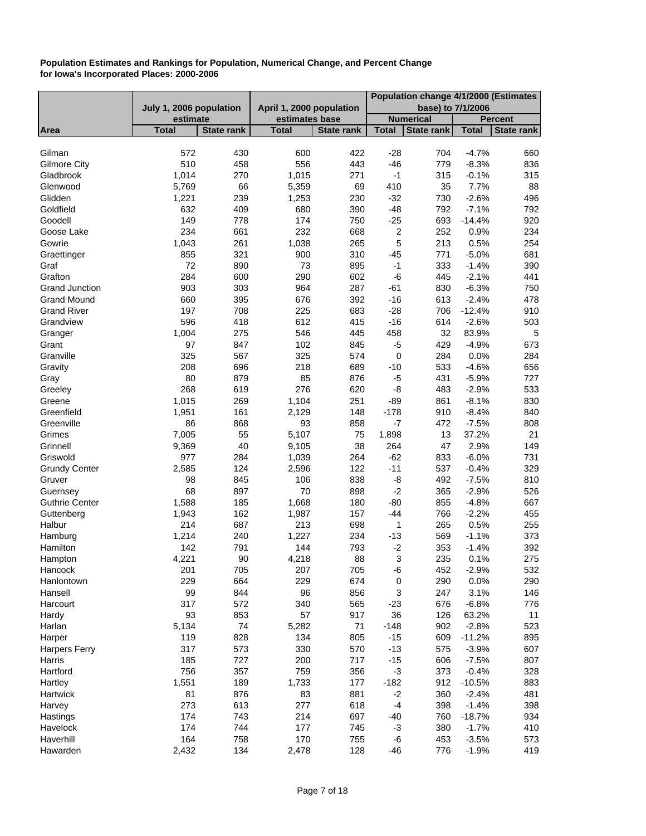|                       |                         |                   |                          |                   | Population change 4/1/2000 (Estimates |                   |                   |                |
|-----------------------|-------------------------|-------------------|--------------------------|-------------------|---------------------------------------|-------------------|-------------------|----------------|
|                       | July 1, 2006 population |                   | April 1, 2000 population |                   |                                       |                   | base) to 7/1/2006 |                |
|                       | estimate                |                   | estimates base           |                   |                                       | <b>Numerical</b>  |                   | <b>Percent</b> |
| Area                  | <b>Total</b>            | <b>State rank</b> | <b>Total</b>             | <b>State rank</b> | <b>Total</b>                          | <b>State rank</b> | <b>Total</b>      | State rank     |
|                       |                         |                   |                          |                   |                                       |                   |                   |                |
| Gilman                | 572                     | 430               | 600                      | 422               | $-28$                                 | 704               | $-4.7%$           | 660            |
| <b>Gilmore City</b>   | 510                     | 458               | 556                      | 443               | $-46$                                 | 779               | $-8.3%$           | 836            |
| Gladbrook             | 1,014                   | 270               | 1,015                    | 271               | $-1$                                  | 315               | $-0.1%$           | 315            |
| Glenwood              | 5,769                   | 66                | 5,359                    | 69                | 410                                   | 35                | 7.7%              | 88             |
| Glidden               | 1,221                   | 239               | 1,253                    | 230               | $-32$                                 | 730               | $-2.6%$           | 496            |
| Goldfield             | 632                     | 409               | 680                      | 390               | $-48$                                 | 792               | $-7.1%$           | 792            |
| Goodell               | 149                     | 778               | 174                      | 750               | $-25$                                 | 693               | $-14.4%$          | 920            |
| Goose Lake            | 234                     | 661               | 232                      | 668               | $\boldsymbol{2}$                      | 252               | 0.9%              | 234            |
| Gowrie                | 1,043                   | 261               | 1,038                    | 265               | 5                                     | 213               | 0.5%              | 254            |
| Graettinger           | 855                     | 321               | 900                      | 310               | $-45$                                 | 771               | $-5.0%$           | 681            |
| Graf                  | 72                      | 890               | 73                       | 895               | $-1$                                  | 333               | $-1.4%$           | 390            |
| Grafton               | 284                     | 600               | 290                      | 602               | -6                                    | 445               | $-2.1%$           | 441            |
| <b>Grand Junction</b> | 903                     | 303               | 964                      | 287               | $-61$                                 | 830               | $-6.3%$           | 750            |
| <b>Grand Mound</b>    | 660                     | 395               | 676                      | 392               | $-16$                                 | 613               | $-2.4%$           | 478            |
| <b>Grand River</b>    | 197                     | 708               | 225                      | 683               | $-28$                                 | 706               | $-12.4%$          | 910            |
| Grandview             | 596                     | 418               | 612                      | 415               | $-16$                                 | 614               | $-2.6%$           |                |
|                       |                         |                   |                          |                   |                                       |                   |                   | 503            |
| Granger               | 1,004                   | 275               | 546                      | 445               | 458                                   | 32                | 83.9%             | 5              |
| Grant                 | 97                      | 847               | 102                      | 845               | $-5$                                  | 429               | $-4.9%$           | 673            |
| Granville             | 325                     | 567               | 325                      | 574               | $\pmb{0}$                             | 284               | 0.0%              | 284            |
| Gravity               | 208                     | 696               | 218                      | 689               | $-10$                                 | 533               | $-4.6%$           | 656            |
| Gray                  | 80                      | 879               | 85                       | 876               | $-5$                                  | 431               | $-5.9%$           | 727            |
| Greeley               | 268                     | 619               | 276                      | 620               | -8                                    | 483               | $-2.9%$           | 533            |
| Greene                | 1,015                   | 269               | 1,104                    | 251               | $-89$                                 | 861               | $-8.1%$           | 830            |
| Greenfield            | 1,951                   | 161               | 2,129                    | 148               | $-178$                                | 910               | $-8.4%$           | 840            |
| Greenville            | 86                      | 868               | 93                       | 858               | $-7$                                  | 472               | $-7.5%$           | 808            |
| Grimes                | 7,005                   | 55                | 5,107                    | 75                | 1,898                                 | 13                | 37.2%             | 21             |
| Grinnell              | 9,369                   | 40                | 9,105                    | 38                | 264                                   | 47                | 2.9%              | 149            |
| Griswold              | 977                     | 284               | 1,039                    | 264               | $-62$                                 | 833               | $-6.0%$           | 731            |
| <b>Grundy Center</b>  | 2,585                   | 124               | 2,596                    | 122               | $-11$                                 | 537               | $-0.4%$           | 329            |
| Gruver                | 98                      | 845               | 106                      | 838               | $-8$                                  | 492               | $-7.5%$           | 810            |
| Guernsey              | 68                      | 897               | 70                       | 898               | $-2$                                  | 365               | $-2.9%$           | 526            |
| <b>Guthrie Center</b> | 1,588                   | 185               | 1,668                    | 180               | $-80$                                 | 855               | $-4.8%$           | 667            |
| Guttenberg            | 1,943                   | 162               | 1,987                    | 157               | -44                                   | 766               | $-2.2%$           | 455            |
| Halbur                | 214                     | 687               | 213                      | 698               | 1                                     | 265               | 0.5%              | 255            |
| Hamburg               | 1,214                   | 240               | 1,227                    | 234               | $-13$                                 | 569               | $-1.1%$           | 373            |
| Hamilton              | 142                     | 791               | 144                      | 793               | $-2$                                  | 353               | $-1.4%$           | 392            |
| Hampton               | 4,221                   | 90                | 4,218                    | 88                | 3                                     | 235               | 0.1%              | 275            |
| Hancock               | 201                     | 705               | 207                      | 705               | -6                                    | 452               | $-2.9%$           | 532            |
| Hanlontown            | 229                     | 664               | 229                      | 674               | $\pmb{0}$                             | 290               | 0.0%              | 290            |
| Hansell               | 99                      | 844               | 96                       | 856               | 3                                     | 247               | 3.1%              | 146            |
| Harcourt              | 317                     | 572               | 340                      | 565               | $-23$                                 | 676               | $-6.8%$           | 776            |
| Hardy                 | 93                      | 853               | 57                       | 917               | 36                                    | 126               | 63.2%             | 11             |
| Harlan                | 5,134                   | 74                | 5,282                    | 71                | $-148$                                | 902               | $-2.8%$           | 523            |
| Harper                | 119                     | 828               | 134                      | 805               | $-15$                                 | 609               | $-11.2%$          | 895            |
| <b>Harpers Ferry</b>  | 317                     | 573               | 330                      | 570               | $-13$                                 | 575               | $-3.9%$           | 607            |
| Harris                | 185                     | 727               | 200                      | 717               | $-15$                                 | 606               | $-7.5%$           | 807            |
| Hartford              | 756                     | 357               | 759                      | 356               | $-3$                                  | 373               | $-0.4%$           | 328            |
| Hartley               | 1,551                   | 189               | 1,733                    | 177               | $-182$                                | 912               | $-10.5%$          | 883            |
| Hartwick              | 81                      | 876               | 83                       | 881               | $-2$                                  | 360               | $-2.4%$           | 481            |
| Harvey                | 273                     | 613               | 277                      | 618               | $-4$                                  | 398               | $-1.4%$           | 398            |
| Hastings              | 174                     | 743               | 214                      | 697               | $-40$                                 | 760               | $-18.7%$          | 934            |
| Havelock              | 174                     | 744               | 177                      | 745               | $-3$                                  | 380               | $-1.7%$           | 410            |
| Haverhill             | 164                     | 758               | 170                      | 755               | -6                                    | 453               | $-3.5%$           | 573            |
|                       |                         |                   |                          |                   |                                       |                   |                   |                |
| Hawarden              | 2,432                   | 134               | 2,478                    | 128               | $-46$                                 | 776               | $-1.9%$           | 419            |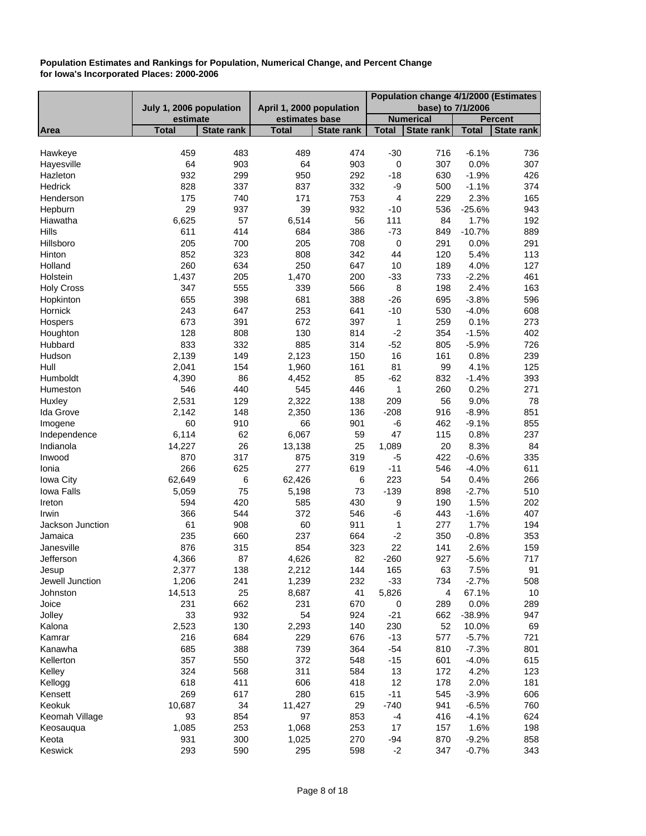|                    |                         |                   |                          |                   | Population change 4/1/2000 (Estimates |                   |                 |                   |
|--------------------|-------------------------|-------------------|--------------------------|-------------------|---------------------------------------|-------------------|-----------------|-------------------|
|                    | July 1, 2006 population |                   | April 1, 2000 population |                   |                                       | base) to 7/1/2006 |                 |                   |
|                    | estimate                |                   | estimates base           |                   |                                       | <b>Numerical</b>  |                 | <b>Percent</b>    |
| Area               | <b>Total</b>            | <b>State rank</b> | <b>Total</b>             | <b>State rank</b> | <b>Total</b>                          | <b>State rank</b> | <b>Total</b>    | <b>State rank</b> |
| Hawkeye            | 459                     | 483               | 489                      | 474               | $-30$                                 | 716               | $-6.1%$         | 736               |
| Hayesville         | 64                      | 903               | 64                       | 903               | $\pmb{0}$                             | 307               | 0.0%            | 307               |
| Hazleton           | 932                     | 299               |                          |                   |                                       | 630               |                 |                   |
| Hedrick            | 828                     |                   | 950                      | 292<br>332        | $-18$                                 |                   | $-1.9%$         | 426               |
| Henderson          | 175                     | 337<br>740        | 837<br>171               |                   | -9<br>4                               | 500               | $-1.1%$<br>2.3% | 374               |
|                    |                         |                   |                          | 753               |                                       | 229               |                 | 165               |
| Hepburn            | 29                      | 937               | 39                       | 932               | $-10$                                 | 536               | $-25.6%$        | 943               |
| Hiawatha           | 6,625                   | 57                | 6,514                    | 56                | 111                                   | 84                | 1.7%            | 192               |
| Hills<br>Hillsboro | 611<br>205              | 414<br>700        | 684<br>205               | 386<br>708        | $-73$<br>$\pmb{0}$                    | 849<br>291        | $-10.7%$        | 889<br>291        |
|                    |                         |                   |                          |                   |                                       |                   | 0.0%            |                   |
| Hinton             | 852                     | 323               | 808                      | 342               | 44                                    | 120               | 5.4%            | 113               |
| Holland            | 260                     | 634               | 250                      | 647               | 10                                    | 189               | 4.0%            | 127               |
| Holstein           | 1,437                   | 205               | 1,470                    | 200               | $-33$                                 | 733               | $-2.2%$         | 461               |
| <b>Holy Cross</b>  | 347                     | 555               | 339                      | 566               | $\bf 8$                               | 198               | 2.4%            | 163               |
| Hopkinton          | 655                     | 398               | 681                      | 388               | $-26$                                 | 695               | $-3.8%$         | 596               |
| Hornick            | 243                     | 647               | 253                      | 641               | $-10$                                 | 530               | $-4.0%$         | 608               |
| Hospers            | 673                     | 391               | 672                      | 397               | $\mathbf 1$                           | 259               | 0.1%            | 273               |
| Houghton           | 128                     | 808               | 130                      | 814               | $-2$                                  | 354               | $-1.5%$         | 402               |
| Hubbard            | 833                     | 332               | 885                      | 314               | $-52$                                 | 805               | $-5.9%$         | 726               |
| Hudson             | 2,139                   | 149               | 2,123                    | 150               | 16                                    | 161               | 0.8%            | 239               |
| Hull               | 2,041                   | 154               | 1,960                    | 161               | 81                                    | 99                | 4.1%            | 125               |
| Humboldt           | 4,390                   | 86                | 4,452                    | 85                | $-62$                                 | 832               | $-1.4%$         | 393               |
| Humeston           | 546                     | 440               | 545                      | 446               | 1                                     | 260               | 0.2%            | 271               |
| Huxley             | 2,531                   | 129               | 2,322                    | 138               | 209                                   | 56                | 9.0%            | 78                |
| Ida Grove          | 2,142                   | 148               | 2,350                    | 136               | $-208$                                | 916               | $-8.9%$         | 851               |
| Imogene            | 60                      | 910               | 66                       | 901               | $-6$                                  | 462               | $-9.1%$         | 855               |
| Independence       | 6,114                   | 62                | 6,067                    | 59                | 47                                    | 115               | 0.8%            | 237               |
| Indianola          | 14,227                  | 26                | 13,138                   | 25                | 1,089                                 | 20                | 8.3%            | 84                |
| Inwood             | 870                     | 317               | 875                      | 319               | $-5$                                  | 422               | $-0.6%$         | 335               |
| Ionia              | 266                     | 625               | 277                      | 619               | $-11$                                 | 546               | $-4.0%$         | 611               |
| <b>Iowa City</b>   | 62,649                  | 6                 | 62,426                   | 6                 | 223                                   | 54                | 0.4%            | 266               |
| Iowa Falls         | 5,059                   | 75                | 5,198                    | 73                | $-139$                                | 898               | $-2.7%$         | 510               |
| Ireton             | 594                     | 420               | 585                      | 430               | 9                                     | 190               | 1.5%            | 202               |
| Irwin              | 366                     | 544               | 372                      | 546               | $-6$                                  | 443               | $-1.6%$         | 407               |
| Jackson Junction   | 61                      | 908               | 60                       | 911               | 1                                     | 277               | 1.7%            | 194               |
| Jamaica            | 235                     | 660               | 237                      | 664               | $-2$                                  | 350               | $-0.8%$         | 353               |
| Janesville         | 876                     | 315               | 854                      | 323               | 22                                    | 141               | 2.6%            | 159               |
| Jefferson          | 4,366                   | 87                | 4,626                    | 82                | $-260$                                | 927               | $-5.6%$         | 717               |
| Jesup              | 2,377                   | 138               | 2,212                    | 144               | 165                                   | 63                | 7.5%            | 91                |
| Jewell Junction    | 1,206                   | 241               | 1,239                    | 232               | $-33$                                 | 734               | $-2.7%$         | 508               |
| Johnston           | 14,513                  | 25                | 8,687                    | 41                | 5,826                                 | 4                 | 67.1%           | 10                |
| Joice              | 231                     | 662               | 231                      | 670               | 0                                     | 289               | 0.0%            | 289               |
| Jolley             | 33                      | 932               | 54                       | 924               | $-21$                                 | 662               | $-38.9%$        | 947               |
| Kalona             | 2,523                   | 130               | 2,293                    | 140               | 230                                   | 52                | 10.0%           | 69                |
| Kamrar             | 216                     | 684               | 229                      | 676               | $-13$                                 | 577               | $-5.7%$         | 721               |
| Kanawha            | 685                     | 388               | 739                      | 364               | $-54$                                 | 810               | $-7.3%$         | 801               |
| Kellerton          | 357                     | 550               | 372                      | 548               | $-15$                                 | 601               | $-4.0%$         | 615               |
| Kelley             | 324                     | 568               | 311                      | 584               | 13                                    | 172               | 4.2%            | 123               |
| Kellogg            | 618                     | 411               | 606                      | 418               | 12                                    | 178               | 2.0%            | 181               |
| Kensett            | 269                     | 617               | 280                      | 615               | $-11$                                 | 545               | $-3.9%$         | 606               |
| Keokuk             | 10,687                  | 34                | 11,427                   | 29                | $-740$                                | 941               | $-6.5%$         | 760               |
| Keomah Village     | 93                      | 854               | 97                       | 853               | $-4$                                  | 416               | $-4.1%$         | 624               |
| Keosauqua          | 1,085                   | 253               | 1,068                    | 253               | 17                                    | 157               | 1.6%            | 198               |
| Keota              | 931                     | 300               | 1,025                    | 270               | $-94$                                 | 870               | $-9.2%$         | 858               |
| Keswick            | 293                     | 590               | 295                      | 598               | $-2$                                  | 347               | $-0.7%$         | 343               |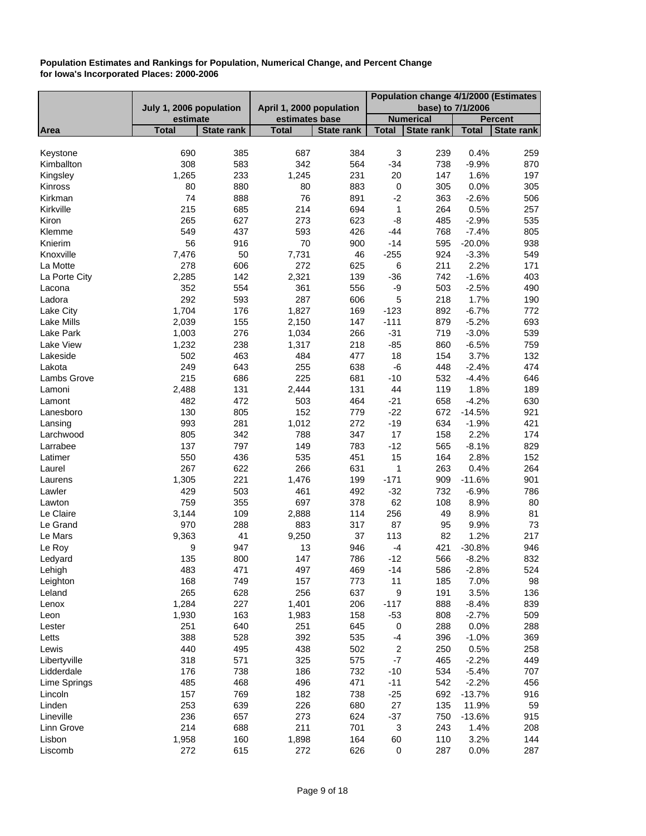|               |                         |                   |                          |                   | Population change 4/1/2000 (Estimates |                   |                   |                   |
|---------------|-------------------------|-------------------|--------------------------|-------------------|---------------------------------------|-------------------|-------------------|-------------------|
|               | July 1, 2006 population |                   | April 1, 2000 population |                   |                                       |                   | base) to 7/1/2006 |                   |
|               | estimate                |                   | estimates base           |                   |                                       | <b>Numerical</b>  |                   | <b>Percent</b>    |
| Area          | <b>Total</b>            | <b>State rank</b> | <b>Total</b>             | <b>State rank</b> | <b>Total</b>                          | <b>State rank</b> | <b>Total</b>      | <b>State rank</b> |
|               |                         |                   |                          |                   |                                       |                   |                   |                   |
| Keystone      | 690                     | 385               | 687                      | 384               | $\ensuremath{\mathsf{3}}$             | 239               | 0.4%              | 259               |
| Kimballton    | 308                     | 583               | 342                      | 564               | $-34$                                 | 738               | $-9.9%$           | 870               |
| Kingsley      | 1,265                   | 233               | 1,245                    | 231               | 20                                    | 147               | 1.6%              | 197               |
| Kinross       | 80                      | 880               | 80                       | 883               | $\pmb{0}$                             | 305               | 0.0%              | 305               |
| Kirkman       | 74                      | 888               | 76                       | 891               | $-2$                                  | 363               | $-2.6%$           | 506               |
| Kirkville     | 215                     | 685               | 214                      | 694               | $\mathbf 1$                           | 264               | 0.5%              | 257               |
| Kiron         | 265                     | 627               | 273                      | 623               | -8                                    | 485               | $-2.9%$           | 535               |
| Klemme        | 549                     | 437               | 593                      | 426               | -44                                   | 768               | $-7.4%$           | 805               |
| Knierim       | 56                      | 916               | 70                       | 900               | $-14$                                 | 595               | $-20.0%$          | 938               |
| Knoxville     | 7,476                   | 50                | 7,731                    | 46                | $-255$                                | 924               | $-3.3%$           | 549               |
| La Motte      | 278                     | 606               | 272                      | 625               | 6                                     | 211               | 2.2%              | 171               |
| La Porte City | 2,285                   | 142               | 2,321                    | 139               | $-36$                                 | 742               | $-1.6%$           | 403               |
| Lacona        | 352                     | 554               | 361                      | 556               | -9                                    | 503               | $-2.5%$           | 490               |
| Ladora        | 292                     | 593               | 287                      | 606               | 5                                     | 218               | 1.7%              | 190               |
| Lake City     | 1,704                   | 176               | 1,827                    | 169               | $-123$                                | 892               | $-6.7%$           | 772               |
| Lake Mills    | 2,039                   | 155               | 2,150                    | 147               | $-111$                                | 879               | $-5.2%$           | 693               |
| Lake Park     | 1,003                   | 276               | 1,034                    | 266               | $-31$                                 | 719               | $-3.0%$           | 539               |
| Lake View     | 1,232                   | 238               | 1,317                    | 218               | $-85$                                 | 860               | $-6.5%$           | 759               |
| Lakeside      | 502                     | 463               | 484                      | 477               | 18                                    | 154               | 3.7%              | 132               |
| Lakota        | 249                     | 643               | 255                      | 638               | -6                                    | 448               | $-2.4%$           | 474               |
| Lambs Grove   | 215                     | 686               | 225                      | 681               | $-10$                                 | 532               | $-4.4%$           | 646               |
| Lamoni        | 2,488                   | 131               | 2,444                    | 131               | 44                                    | 119               | 1.8%              | 189               |
| Lamont        | 482                     | 472               | 503                      | 464               | $-21$                                 | 658               | $-4.2%$           | 630               |
| Lanesboro     | 130                     | 805               | 152                      | 779               | $-22$                                 | 672               | $-14.5%$          | 921               |
| Lansing       | 993                     | 281               | 1,012                    | 272               | $-19$                                 | 634               | $-1.9%$           | 421               |
| Larchwood     | 805                     | 342               | 788                      | 347               | 17                                    | 158               | 2.2%              | 174               |
| Larrabee      | 137                     | 797               | 149                      | 783               | $-12$                                 | 565               | $-8.1%$           | 829               |
| Latimer       | 550                     | 436               | 535                      | 451               | 15                                    | 164               | 2.8%              | 152               |
| Laurel        | 267                     | 622               | 266                      | 631               | 1                                     | 263               | 0.4%              | 264               |
| Laurens       | 1,305                   | 221               | 1,476                    | 199               | $-171$                                | 909               | $-11.6%$          | 901               |
| Lawler        | 429                     | 503               | 461                      | 492               | $-32$                                 | 732               | $-6.9%$           | 786               |
| Lawton        | 759                     | 355               | 697                      | 378               | 62                                    | 108               | 8.9%              | 80                |
| Le Claire     | 3,144                   | 109               | 2,888                    | 114               | 256                                   | 49                | 8.9%              | 81                |
| Le Grand      | 970                     | 288               | 883                      | 317               | 87                                    | 95                | 9.9%              | 73                |
| Le Mars       | 9,363                   | 41                | 9,250                    | 37                | 113                                   | 82                | 1.2%              | 217               |
| Le Roy        | 9                       | 947               | 13                       | 946               | $-4$                                  | 421               | $-30.8%$          | 946               |
| Ledyard       | 135                     | 800               | 147                      | 786               | $-12$                                 | 566               | $-8.2%$           | 832               |
| Lehigh        | 483                     | 471               | 497                      | 469               | $-14$                                 | 586               | $-2.8%$           | 524               |
| Leighton      | 168                     | 749               | 157                      | 773               | 11                                    | 185               | 7.0%              | 98                |
| Leland        | 265                     | 628               | 256                      | 637               | 9                                     | 191               | 3.5%              | 136               |
| Lenox         | 1,284                   | 227               | 1,401                    | 206               | $-117$                                | 888               | $-8.4%$           | 839               |
| Leon          | 1,930                   | 163               | 1,983                    | 158               | $-53$                                 | 808               | $-2.7%$           | 509               |
| Lester        | 251                     | 640               | 251                      | 645               | $\pmb{0}$                             | 288               | 0.0%              | 288               |
| Letts         | 388                     | 528               | 392                      | 535               | $-4$                                  | 396               | $-1.0%$           | 369               |
| Lewis         | 440                     | 495               | 438                      | 502               | $\boldsymbol{2}$                      | 250               | 0.5%              | 258               |
| Libertyville  | 318                     | 571               | 325                      | 575               | $\mathbf{-7}$                         | 465               | $-2.2%$           | 449               |
| Lidderdale    | 176                     | 738               | 186                      | 732               | $-10$                                 | 534               | $-5.4%$           | 707               |
| Lime Springs  | 485                     | 468               | 496                      | 471               | $-11$                                 | 542               | $-2.2%$           | 456               |
| Lincoln       | 157                     | 769               | 182                      | 738               | $-25$                                 | 692               | $-13.7%$          | 916               |
| Linden        | 253                     | 639               | 226                      | 680               | 27                                    | 135               | 11.9%             | 59                |
| Lineville     | 236                     | 657               | 273                      | 624               | $-37$                                 | 750               | $-13.6%$          | 915               |
| Linn Grove    | 214                     | 688               | 211                      | 701               | 3                                     | 243               | 1.4%              | 208               |
| Lisbon        | 1,958                   | 160               | 1,898                    | 164               | 60                                    | 110               | 3.2%              | 144               |
| Liscomb       | 272                     | 615               | 272                      | 626               | $\mathbf 0$                           | 287               | 0.0%              | 287               |
|               |                         |                   |                          |                   |                                       |                   |                   |                   |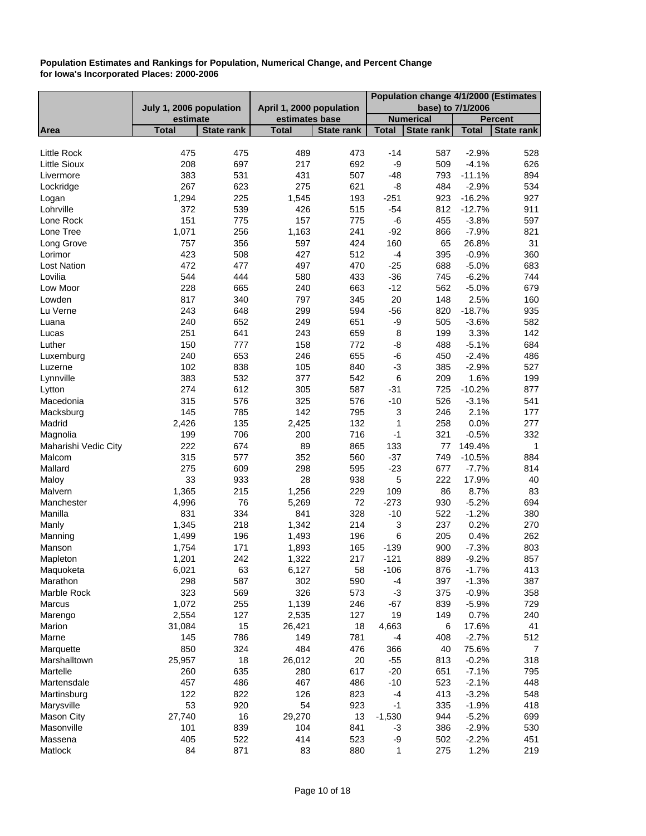|                                           | Population change 4/1/2000 (Estimates |                   |                          |                   |                           |                   |                     |                   |
|-------------------------------------------|---------------------------------------|-------------------|--------------------------|-------------------|---------------------------|-------------------|---------------------|-------------------|
|                                           | July 1, 2006 population               |                   | April 1, 2000 population |                   |                           | base) to 7/1/2006 |                     |                   |
|                                           | estimate                              |                   | estimates base           |                   |                           | <b>Numerical</b>  |                     | <b>Percent</b>    |
| Area                                      | <b>Total</b>                          | <b>State rank</b> | <b>Total</b>             | <b>State rank</b> | <b>Total</b>              | <b>State rank</b> | <b>Total</b>        | <b>State rank</b> |
|                                           |                                       |                   |                          |                   |                           |                   |                     |                   |
| <b>Little Rock</b><br><b>Little Sioux</b> | 475<br>208                            | 475<br>697        | 489<br>217               | 473<br>692        | -14<br>-9                 | 587<br>509        | $-2.9%$<br>$-4.1%$  | 528<br>626        |
|                                           |                                       | 531               | 431                      | 507               | $-48$                     | 793               |                     | 894               |
| Livermore<br>Lockridge                    | 383<br>267                            | 623               | 275                      | 621               | -8                        | 484               | $-11.1%$<br>$-2.9%$ | 534               |
|                                           | 1,294                                 | 225               | 1,545                    | 193               | $-251$                    | 923               | $-16.2%$            | 927               |
| Logan<br>Lohrville                        | 372                                   | 539               | 426                      | 515               | $-54$                     | 812               | $-12.7%$            | 911               |
| Lone Rock                                 | 151                                   | 775               | 157                      | 775               | -6                        | 455               | $-3.8%$             | 597               |
| Lone Tree                                 | 1,071                                 | 256               | 1,163                    | 241               | $-92$                     | 866               | $-7.9%$             | 821               |
| Long Grove                                | 757                                   | 356               | 597                      | 424               | 160                       | 65                | 26.8%               | 31                |
| Lorimor                                   | 423                                   | 508               | 427                      | 512               | $-4$                      | 395               | $-0.9%$             | 360               |
| <b>Lost Nation</b>                        | 472                                   | 477               | 497                      | 470               | $-25$                     | 688               | $-5.0%$             | 683               |
| Lovilia                                   | 544                                   | 444               | 580                      | 433               | $-36$                     | 745               | $-6.2%$             | 744               |
| Low Moor                                  | 228                                   | 665               | 240                      | 663               | $-12$                     | 562               | $-5.0%$             | 679               |
| Lowden                                    | 817                                   | 340               | 797                      | 345               | 20                        | 148               | 2.5%                | 160               |
| Lu Verne                                  | 243                                   | 648               | 299                      | 594               | $-56$                     | 820               | $-18.7%$            | 935               |
| Luana                                     | 240                                   | 652               | 249                      | 651               | -9                        | 505               | $-3.6%$             | 582               |
| Lucas                                     | 251                                   | 641               | 243                      | 659               | 8                         | 199               | 3.3%                | 142               |
| Luther                                    | 150                                   | 777               | 158                      | 772               | -8                        | 488               | $-5.1%$             | 684               |
| Luxemburg                                 | 240                                   | 653               | 246                      | 655               | -6                        | 450               | $-2.4%$             | 486               |
| Luzerne                                   | 102                                   | 838               | 105                      | 840               | $-3$                      | 385               | $-2.9%$             | 527               |
| Lynnville                                 | 383                                   | 532               | 377                      | 542               | 6                         | 209               | 1.6%                | 199               |
| Lytton                                    | 274                                   | 612               | 305                      | 587               | $-31$                     | 725               | $-10.2%$            | 877               |
| Macedonia                                 | 315                                   | 576               | 325                      | 576               | $-10$                     | 526               | $-3.1%$             | 541               |
| Macksburg                                 | 145                                   | 785               | 142                      | 795               | $\ensuremath{\mathsf{3}}$ | 246               | 2.1%                | 177               |
| Madrid                                    | 2,426                                 | 135               | 2,425                    | 132               | $\mathbf 1$               | 258               | 0.0%                | 277               |
| Magnolia                                  | 199                                   | 706               | 200                      | 716               | $-1$                      | 321               | $-0.5%$             | 332               |
| Maharishi Vedic City                      | 222                                   | 674               | 89                       | 865               | 133                       | 77                | 149.4%              | $\mathbf 1$       |
| Malcom                                    | 315                                   | 577               | 352                      | 560               | $-37$                     | 749               | $-10.5%$            | 884               |
| Mallard                                   | 275                                   | 609               | 298                      | 595               | $-23$                     | 677               | $-7.7%$             | 814               |
| Maloy                                     | 33                                    | 933               | 28                       | 938               | 5                         | 222               | 17.9%               | 40                |
| Malvern                                   | 1,365                                 | 215               | 1,256                    | 229               | 109                       | 86                | 8.7%                | 83                |
| Manchester                                | 4,996                                 | 76                | 5,269                    | 72                | $-273$                    | 930               | $-5.2%$             | 694               |
| Manilla                                   | 831                                   | 334               | 841                      | 328               | $-10$                     | 522               | $-1.2%$             | 380               |
| Manly                                     | 1,345                                 | 218               | 1,342                    | 214               | $\ensuremath{\mathsf{3}}$ | 237               | 0.2%                | 270               |
| Manning                                   | 1,499                                 | 196               | 1,493                    | 196               | 6                         | 205               | 0.4%                | 262               |
| Manson                                    | 1,754                                 | 171               | 1,893                    | 165               | $-139$                    | 900               | $-7.3%$             | 803               |
| Mapleton                                  | 1,201                                 | 242               | 1,322                    | 217               | $-121$                    | 889               | $-9.2%$             | 857               |
| Maquoketa                                 | 6,021                                 | 63                | 6,127                    | 58                | $-106$                    | 876               | $-1.7%$             | 413               |
| Marathon                                  | 298                                   | 587               | 302                      | 590               | -4                        | 397               | $-1.3%$             | 387               |
| Marble Rock                               | 323                                   | 569               | 326                      | 573               | $-3$                      | 375               | $-0.9%$             | 358               |
| Marcus                                    | 1,072                                 | 255               | 1,139                    | 246               | $-67$                     | 839               | $-5.9%$             | 729               |
| Marengo                                   | 2,554                                 | 127               | 2,535                    | 127               | 19                        | 149               | 0.7%                | 240               |
| Marion                                    | 31,084                                | 15                | 26,421                   | 18                | 4,663                     | 6                 | 17.6%               | 41                |
| Marne                                     | 145                                   | 786               | 149                      | 781               | -4                        | 408               | $-2.7%$             | 512               |
| Marquette                                 | 850                                   | 324               | 484                      | 476               | 366                       | 40                | 75.6%               | $\overline{7}$    |
| Marshalltown                              | 25,957                                | 18                | 26,012                   | 20                | $-55$                     | 813               | $-0.2%$             | 318               |
| Martelle                                  | 260                                   | 635               | 280                      | 617               | $-20$                     | 651               | $-7.1%$             | 795               |
| Martensdale                               | 457                                   | 486               | 467                      | 486               | $-10$                     | 523               | $-2.1%$             | 448               |
| Martinsburg                               | 122                                   | 822               | 126                      | 823               | -4                        | 413               | $-3.2%$             | 548               |
| Marysville                                | 53                                    | 920               | 54                       | 923               | $-1$                      | 335               | $-1.9%$             | 418               |
| <b>Mason City</b>                         | 27,740                                | 16                | 29,270                   | 13                | $-1,530$                  | 944               | $-5.2%$             | 699               |
| Masonville                                | 101                                   | 839               | 104                      | 841               | -3                        | 386               | $-2.9%$             | 530               |
| Massena                                   | 405                                   | 522               | 414                      | 523               | -9                        | 502               | $-2.2%$             | 451               |
| Matlock                                   | 84                                    | 871               | 83                       | 880               | 1                         | 275               | 1.2%                | 219               |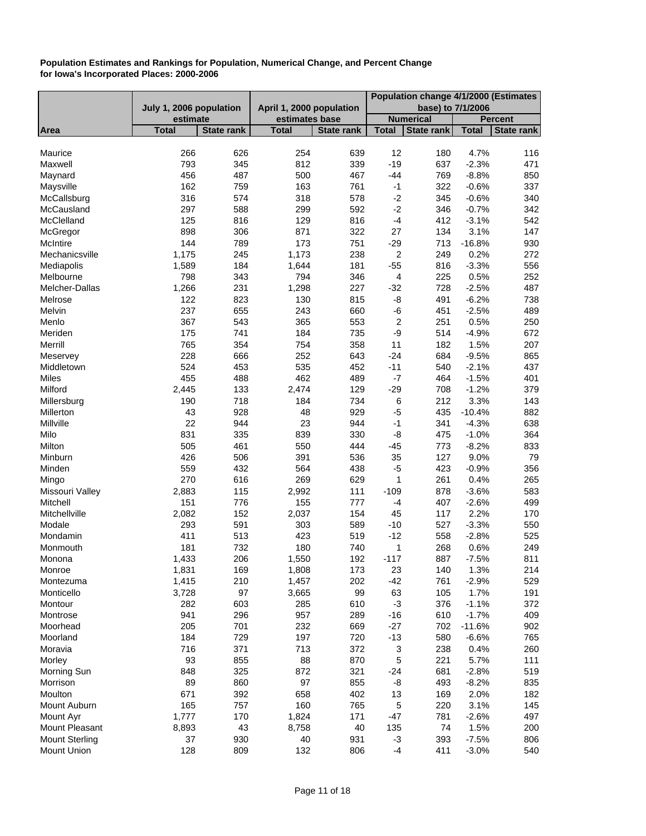|                       |                         |                   |                          |                   |                         | Population change 4/1/2000 (Estimates |              |                   |
|-----------------------|-------------------------|-------------------|--------------------------|-------------------|-------------------------|---------------------------------------|--------------|-------------------|
|                       | July 1, 2006 population |                   | April 1, 2000 population |                   |                         | base) to 7/1/2006                     |              |                   |
|                       | estimate                |                   | estimates base           |                   |                         | <b>Numerical</b>                      |              | <b>Percent</b>    |
| Area                  | <b>Total</b>            | <b>State rank</b> | <b>Total</b>             | <b>State rank</b> | <b>Total</b>            | <b>State rank</b>                     | <b>Total</b> | <b>State rank</b> |
|                       |                         |                   |                          |                   |                         |                                       |              |                   |
| Maurice               | 266                     | 626               | 254                      | 639               | 12                      | 180                                   | 4.7%         | 116               |
| Maxwell               | 793                     | 345               | 812                      | 339               | $-19$                   | 637                                   | $-2.3%$      | 471               |
| Maynard               | 456                     | 487               | 500                      | 467               | -44                     | 769                                   | $-8.8%$      | 850               |
| Maysville             | 162                     | 759               | 163                      | 761               | $-1$                    | 322                                   | $-0.6%$      | 337               |
| McCallsburg           | 316                     | 574               | 318                      | 578               | $-2$                    | 345                                   | $-0.6%$      | 340               |
| McCausland            | 297                     | 588               | 299                      | 592               | $-2$                    | 346                                   | $-0.7%$      | 342               |
| McClelland            | 125                     | 816               | 129                      | 816               | $-4$                    | 412                                   | $-3.1%$      | 542               |
| McGregor              | 898                     | 306               | 871                      | 322               | 27                      | 134                                   | 3.1%         | 147               |
| McIntire              | 144                     | 789               | 173                      | 751               | $-29$                   | 713                                   | $-16.8%$     | 930               |
| Mechanicsville        | 1,175                   | 245               | 1,173                    | 238               | $\boldsymbol{2}$        | 249                                   | 0.2%         | 272               |
| Mediapolis            | 1,589                   | 184               | 1,644                    | 181               | $-55$                   | 816                                   | $-3.3%$      | 556               |
| Melbourne             | 798                     | 343               | 794                      | 346               | $\overline{\mathbf{4}}$ | 225                                   | 0.5%         | 252               |
| Melcher-Dallas        | 1,266                   | 231               | 1,298                    | 227               | $-32$                   | 728                                   | $-2.5%$      | 487               |
| Melrose               | 122                     | 823               | 130                      | 815               | $-8$                    | 491                                   | $-6.2%$      | 738               |
| Melvin                | 237                     | 655               | 243                      | 660               | -6                      | 451                                   | $-2.5%$      | 489               |
| Menlo                 | 367                     | 543               | 365                      | 553               | $\boldsymbol{2}$        | 251                                   | 0.5%         | 250               |
| Meriden               | 175                     | 741               | 184                      | 735               | -9                      | 514                                   | $-4.9%$      | 672               |
| Merrill               | 765                     | 354               | 754                      | 358               | 11                      | 182                                   | 1.5%         | 207               |
| Meservey              | 228                     | 666               | 252                      | 643               | $-24$                   | 684                                   | $-9.5%$      | 865               |
| Middletown            | 524                     | 453               | 535                      | 452               | $-11$                   | 540                                   | $-2.1%$      | 437               |
| <b>Miles</b>          | 455                     | 488               | 462                      | 489               | $-7$                    | 464                                   | $-1.5%$      | 401               |
| Milford               | 2,445                   | 133               | 2,474                    | 129               | $-29$                   | 708                                   | $-1.2%$      | 379               |
|                       | 190                     | 718               | 184                      | 734               | $\,6$                   | 212                                   | 3.3%         | 143               |
| Millersburg           |                         |                   |                          |                   |                         |                                       |              |                   |
| Millerton             | 43                      | 928               | 48                       | 929               | $-5$                    | 435                                   | $-10.4%$     | 882               |
| Millville             | 22                      | 944               | 23                       | 944               | $-1$                    | 341                                   | $-4.3%$      | 638               |
| Milo                  | 831                     | 335               | 839                      | 330               | -8                      | 475                                   | $-1.0%$      | 364               |
| Milton                | 505                     | 461               | 550                      | 444               | $-45$                   | 773                                   | $-8.2%$      | 833               |
| Minburn               | 426                     | 506               | 391                      | 536               | 35                      | 127                                   | 9.0%         | 79                |
| Minden                | 559                     | 432               | 564                      | 438               | $-5$                    | 423                                   | $-0.9%$      | 356               |
| Mingo                 | 270                     | 616               | 269                      | 629               | 1                       | 261                                   | 0.4%         | 265               |
| Missouri Valley       | 2,883                   | 115               | 2,992                    | 111               | $-109$                  | 878                                   | $-3.6%$      | 583               |
| Mitchell              | 151                     | 776               | 155                      | 777               | $-4$                    | 407                                   | $-2.6%$      | 499               |
| Mitchellville         | 2,082                   | 152               | 2,037                    | 154               | 45                      | 117                                   | 2.2%         | 170               |
| Modale                | 293                     | 591               | 303                      | 589               | $-10$                   | 527                                   | $-3.3%$      | 550               |
| Mondamin              | 411                     | 513               | 423                      | 519               | $-12$                   | 558                                   | $-2.8%$      | 525               |
| Monmouth              | 181                     | 732               | 180                      | 740               | $\mathbf 1$             | 268                                   | 0.6%         | 249               |
| Monona                | 1,433                   | 206               | 1,550                    | 192               | $-117$                  | 887                                   | $-7.5%$      | 811               |
| Monroe                | 1,831                   | 169               | 1,808                    | 173               | 23                      | 140                                   | 1.3%         | 214               |
| Montezuma             | 1,415                   | 210               | 1,457                    | 202               | $-42$                   | 761                                   | $-2.9%$      | 529               |
| Monticello            | 3,728                   | 97                | 3,665                    | 99                | 63                      | 105                                   | 1.7%         | 191               |
| Montour               | 282                     | 603               | 285                      | 610               | $-3$                    | 376                                   | $-1.1%$      | 372               |
| Montrose              | 941                     | 296               | 957                      | 289               | $-16$                   | 610                                   | $-1.7%$      | 409               |
| Moorhead              | 205                     | 701               | 232                      | 669               | $-27$                   | 702                                   | $-11.6%$     | 902               |
| Moorland              | 184                     | 729               | 197                      | 720               | $-13$                   | 580                                   | $-6.6%$      | 765               |
| Moravia               | 716                     | 371               | 713                      | 372               | 3                       | 238                                   | 0.4%         | 260               |
| Morley                | 93                      | 855               | 88                       | 870               | $\mathbf 5$             | 221                                   | 5.7%         | 111               |
| Morning Sun           | 848                     | 325               | 872                      | 321               | $-24$                   | 681                                   | $-2.8%$      | 519               |
| Morrison              | 89                      | 860               | 97                       | 855               | -8                      | 493                                   | $-8.2%$      | 835               |
| Moulton               | 671                     | 392               | 658                      | 402               | 13                      | 169                                   | 2.0%         | 182               |
| Mount Auburn          | 165                     | 757               | 160                      | 765               | 5                       | 220                                   | 3.1%         | 145               |
| Mount Ayr             | 1,777                   | 170               | 1,824                    | 171               | $-47$                   | 781                                   | $-2.6%$      | 497               |
| Mount Pleasant        | 8,893                   | 43                | 8,758                    | 40                | 135                     | 74                                    | 1.5%         | 200               |
| <b>Mount Sterling</b> | 37                      | 930               | 40                       | 931               | $-3$                    | 393                                   | $-7.5%$      | 806               |
| Mount Union           | 128                     | 809               | 132                      | 806               | $-4$                    | 411                                   | $-3.0%$      | 540               |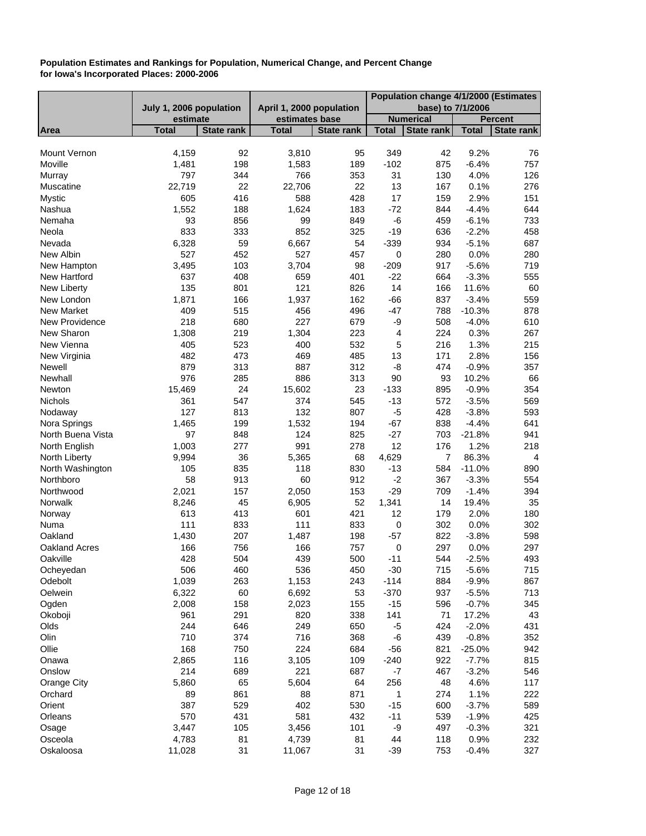|                      |                         |                   |                          |                   | Population change 4/1/2000 (Estimates |                   |              |                         |
|----------------------|-------------------------|-------------------|--------------------------|-------------------|---------------------------------------|-------------------|--------------|-------------------------|
|                      | July 1, 2006 population |                   | April 1, 2000 population |                   |                                       | base) to 7/1/2006 |              |                         |
|                      | estimate                |                   | estimates base           |                   |                                       | <b>Numerical</b>  |              | <b>Percent</b>          |
| Area                 | <b>Total</b>            | <b>State rank</b> | <b>Total</b>             | <b>State rank</b> | <b>Total</b>                          | <b>State rank</b> | <b>Total</b> | <b>State rank</b>       |
| Mount Vernon         | 4,159                   | 92                | 3,810                    | 95                | 349                                   | 42                | 9.2%         | 76                      |
| Moville              | 1,481                   | 198               | 1,583                    | 189               | $-102$                                | 875               | $-6.4%$      | 757                     |
| Murray               | 797                     | 344               | 766                      | 353               | 31                                    | 130               | 4.0%         | 126                     |
| Muscatine            | 22,719                  | 22                | 22,706                   | 22                | 13                                    | 167               | 0.1%         | 276                     |
| Mystic               | 605                     | 416               | 588                      | 428               | 17                                    | 159               | 2.9%         | 151                     |
| Nashua               | 1,552                   | 188               | 1,624                    | 183               | $-72$                                 | 844               | $-4.4%$      | 644                     |
| Nemaha               | 93                      | 856               | 99                       | 849               | -6                                    | 459               | $-6.1%$      | 733                     |
| Neola                | 833                     | 333               | 852                      | 325               | $-19$                                 | 636               | $-2.2%$      | 458                     |
| Nevada               | 6,328                   | 59                | 6,667                    | 54                | $-339$                                | 934               | $-5.1%$      | 687                     |
| New Albin            | 527                     | 452               | 527                      | 457               | 0                                     | 280               | 0.0%         | 280                     |
| New Hampton          | 3,495                   | 103               | 3,704                    | 98                | $-209$                                | 917               | $-5.6%$      | 719                     |
| New Hartford         | 637                     | 408               | 659                      | 401               | $-22$                                 | 664               | $-3.3%$      | 555                     |
| New Liberty          | 135                     | 801               | 121                      | 826               | 14                                    | 166               | 11.6%        | 60                      |
| New London           | 1,871                   | 166               | 1,937                    | 162               | $-66$                                 | 837               | $-3.4%$      | 559                     |
| <b>New Market</b>    | 409                     | 515               | 456                      | 496               | $-47$                                 | 788               | $-10.3%$     | 878                     |
| New Providence       | 218                     | 680               | 227                      | 679               | -9                                    | 508               | $-4.0%$      | 610                     |
| New Sharon           | 1,308                   | 219               | 1,304                    | 223               | 4                                     | 224               | 0.3%         | 267                     |
| New Vienna           | 405                     | 523               | 400                      | 532               | 5                                     | 216               | 1.3%         | 215                     |
| New Virginia         | 482                     | 473               | 469                      | 485               | 13                                    | 171               | 2.8%         | 156                     |
| Newell               | 879                     | 313               | 887                      | 312               | -8                                    | 474               | $-0.9%$      | 357                     |
| Newhall              | 976                     | 285               | 886                      | 313               | 90                                    | 93                | 10.2%        | 66                      |
| Newton               | 15,469                  | 24                | 15,602                   | 23                | $-133$                                | 895               | $-0.9%$      | 354                     |
| Nichols              | 361                     | 547               | 374                      | 545               | $-13$                                 | 572               | $-3.5%$      | 569                     |
| Nodaway              | 127                     | 813               | 132                      | 807               | $-5$                                  | 428               | $-3.8%$      | 593                     |
| Nora Springs         | 1,465                   | 199               | 1,532                    | 194               | $-67$                                 | 838               | $-4.4%$      | 641                     |
| North Buena Vista    | 97                      | 848               | 124                      | 825               | $-27$                                 | 703               | $-21.8%$     | 941                     |
| North English        | 1,003                   | 277               | 991                      | 278               | 12                                    | 176               | 1.2%         | 218                     |
| North Liberty        | 9,994                   | 36                | 5,365                    | 68                | 4,629                                 | $\overline{7}$    | 86.3%        | $\overline{\mathbf{4}}$ |
| North Washington     | 105                     | 835               | 118                      | 830               | $-13$                                 | 584               | $-11.0%$     | 890                     |
| Northboro            | 58                      | 913               | 60                       | 912               | $-2$                                  | 367               | $-3.3%$      | 554                     |
| Northwood            | 2,021                   | 157               | 2,050                    | 153               | $-29$                                 | 709               | $-1.4%$      | 394                     |
| Norwalk              | 8,246                   | 45                | 6,905                    | 52                | 1,341                                 | 14                | 19.4%        | 35                      |
| Norway               | 613                     | 413               | 601                      | 421               | 12                                    | 179               | 2.0%         | 180                     |
| Numa                 | 111                     | 833               | 111                      | 833               | 0                                     | 302               | 0.0%         | 302                     |
| Oakland              | 1,430                   | 207               | 1,487                    | 198               | $-57$                                 | 822               | $-3.8%$      | 598                     |
| <b>Oakland Acres</b> | 166                     | 756               | 166                      | 757               | 0                                     | 297               | 0.0%         | 297                     |
| Oakville             | 428                     | 504               | 439                      | 500               | $-11$                                 | 544               | $-2.5%$      | 493                     |
| Ocheyedan            | 506                     | 460               | 536                      | 450               | $-30$                                 | 715               | $-5.6%$      | 715                     |
| Odebolt              | 1,039                   | 263               | 1,153                    | 243               | $-114$                                | 884               | $-9.9%$      | 867                     |
| Oelwein              | 6,322                   | 60                | 6,692                    | 53                | $-370$                                | 937               | $-5.5%$      | 713                     |
| Ogden                | 2,008                   | 158               | 2,023                    | 155               | $-15$                                 | 596               | $-0.7%$      | 345                     |
| Okoboji              | 961                     | 291               | 820                      | 338               | 141                                   | 71                | 17.2%        | 43                      |
| Olds                 | 244                     | 646               | 249                      | 650               | $-5$                                  | 424               | $-2.0%$      | 431                     |
| Olin                 | 710                     | 374               | 716                      | 368               | $-6$                                  | 439               | $-0.8%$      | 352                     |
| Ollie                | 168                     | 750               | 224                      | 684               | $-56$                                 | 821               | $-25.0%$     | 942                     |
| Onawa                | 2,865                   | 116               | 3,105                    | 109               | $-240$                                | 922               | $-7.7%$      | 815                     |
| Onslow               | 214                     | 689               | 221                      | 687               | $-7$                                  | 467               | $-3.2%$      | 546                     |
| Orange City          | 5,860                   | 65                | 5,604                    | 64                | 256                                   | 48                | 4.6%         | 117                     |
| Orchard              | 89                      | 861               | 88                       | 871               | 1                                     | 274               | 1.1%         | 222                     |
| Orient               | 387                     | 529               | 402                      | 530               | $-15$                                 | 600               | $-3.7%$      | 589                     |
| Orleans              | 570                     | 431               | 581                      | 432               | $-11$                                 | 539               | $-1.9%$      | 425                     |
| Osage                | 3,447                   | 105               | 3,456                    | 101               | -9                                    | 497               | $-0.3%$      | 321                     |
| Osceola              | 4,783                   | 81                | 4,739                    | 81                | 44                                    | 118               | 0.9%         | 232                     |
| Oskaloosa            | 11,028                  | 31                | 11,067                   | 31                | $-39$                                 | 753               | $-0.4%$      | 327                     |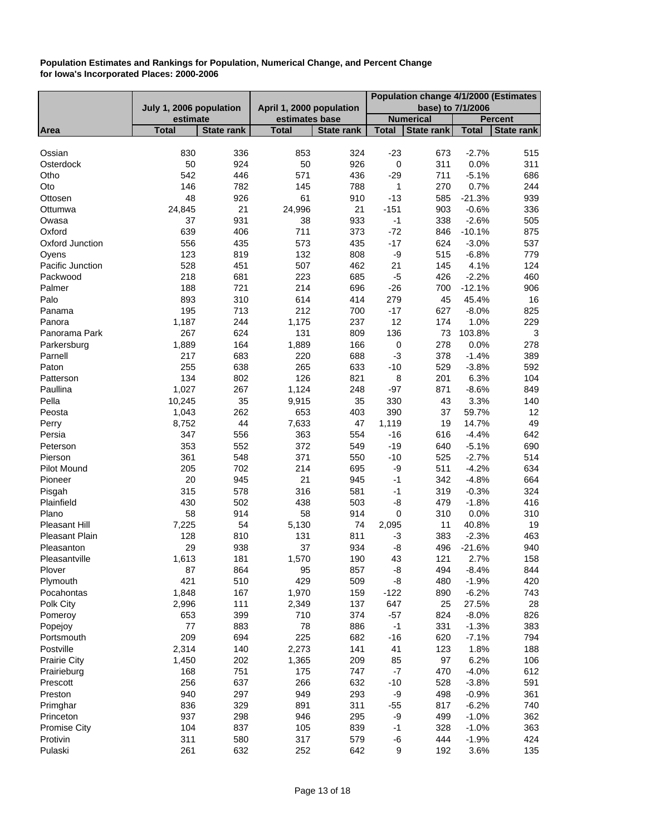| July 1, 2006 population<br>April 1, 2000 population<br>base) to 7/1/2006<br><b>Numerical</b><br>estimate<br>estimates base<br><b>Percent</b><br>State rank<br>State rank<br><b>Total</b><br><b>State rank</b><br><b>Total</b><br><b>Total</b><br><b>Total</b><br>Area<br><b>State rank</b><br>830<br>336<br>$-2.7%$<br>853<br>324<br>$-23$<br>673<br>515<br>Ossian<br>50<br>924<br>50<br>926<br>0.0%<br>$\mathbf 0$<br>311<br>311<br>Osterdock<br>542<br>571<br>446<br>436<br>$-29$<br>711<br>$-5.1%$<br>686<br>Otho<br>0.7%<br>146<br>782<br>145<br>788<br>1<br>270<br>244<br>Oto<br>48<br>926<br>61<br>910<br>$-13$<br>$-21.3%$<br>585<br>939<br>Ottosen<br>21<br>21<br>$-151$<br>$-0.6%$<br>336<br>24,845<br>24,996<br>903<br>Ottumwa<br>37<br>931<br>933<br>505<br>Owasa<br>38<br>$-1$<br>338<br>$-2.6%$<br>639<br>Oxford<br>406<br>711<br>373<br>$-72$<br>846<br>$-10.1%$<br>875<br>573<br>Oxford Junction<br>556<br>435<br>435<br>$-17$<br>624<br>$-3.0%$<br>537<br>123<br>819<br>132<br>808<br>-9<br>515<br>$-6.8%$<br>779<br>Oyens<br>528<br>507<br>462<br>21<br>4.1%<br>Pacific Junction<br>451<br>145<br>124<br>223<br>$-5$<br>$-2.2%$<br>460<br>218<br>681<br>685<br>426<br>Packwood<br>214<br>Palmer<br>188<br>721<br>696<br>$-26$<br>700<br>$-12.1%$<br>906<br>Palo<br>893<br>310<br>614<br>414<br>45<br>16<br>279<br>45.4%<br>195<br>713<br>212<br>$-17$<br>$-8.0%$<br>825<br>700<br>627<br>Panama<br>1,187<br>1,175<br>12<br>1.0%<br>229<br>244<br>237<br>174<br>Panora<br>267<br>624<br>131<br>136<br>103.8%<br>Panorama Park<br>809<br>73<br>3<br>164<br>1,889<br>1,889<br>166<br>0<br>278<br>0.0%<br>278<br>Parkersburg<br>217<br>683<br>220<br>$-3$<br>$-1.4%$<br>Parnell<br>688<br>378<br>389<br>255<br>638<br>265<br>633<br>$-10$<br>$-3.8%$<br>592<br>Paton<br>529<br>134<br>802<br>126<br>821<br>8<br>6.3%<br>201<br>104<br>Patterson<br>1,027<br>267<br>$-8.6%$<br>Paullina<br>1,124<br>248<br>$-97$<br>871<br>849<br>Pella<br>35<br>10,245<br>9,915<br>35<br>330<br>43<br>3.3%<br>140<br>653<br>1,043<br>262<br>59.7%<br>403<br>390<br>37<br>12<br>Peosta<br>44<br>7,633<br>14.7%<br>49<br>8,752<br>47<br>1,119<br>19<br>Perry<br>363<br>642<br>347<br>556<br>554<br>$-16$<br>616<br>$-4.4%$<br>Persia<br>353<br>$-5.1%$<br>690<br>552<br>372<br>549<br>$-19$<br>640<br>Peterson<br>361<br>371<br>550<br>$-10$<br>$-2.7%$<br>514<br>548<br>525<br>Pierson<br>205<br>702<br>-9<br>$-4.2%$<br>634<br>214<br>695<br>511<br><b>Pilot Mound</b><br>20<br>21<br>945<br>945<br>$-1$<br>342<br>$-4.8%$<br>664<br>Pioneer<br>315<br>578<br>316<br>Pisgah<br>581<br>$-1$<br>319<br>$-0.3%$<br>324<br>430<br>502<br>438<br>503<br>$-1.8%$<br>Plainfield<br>-8<br>479<br>416<br>58<br>58<br>0<br>0.0%<br>Plano<br>914<br>914<br>310<br>310<br>7,225<br>5,130<br><b>Pleasant Hill</b><br>54<br>74<br>2,095<br>11<br>40.8%<br>19<br>128<br>811<br><b>Pleasant Plain</b><br>810<br>131<br>$-3$<br>383<br>$-2.3%$<br>463<br>938<br>37<br>934<br>29<br>-8<br>496<br>$-21.6%$<br>940<br>Pleasanton<br>1,613<br>181<br>43<br>121<br>2.7%<br>158<br>1,570<br>190<br>Pleasantville<br>87<br>864<br>95<br>857<br>-8<br>494<br>$-8.4%$<br>844<br>Plover<br>421<br>510<br>429<br>509<br>420<br>-8<br>480<br>$-1.9%$<br>Plymouth<br>167<br>1,848<br>1,970<br>159<br>$-122$<br>890<br>$-6.2%$<br>743<br>Pocahontas<br>137<br>Polk City<br>2,996<br>111<br>2,349<br>647<br>25<br>27.5%<br>28<br>399<br>710<br>374<br>653<br>$-57$<br>824<br>$-8.0%$<br>826<br>Pomeroy<br>883<br>78<br>886<br>$-1$<br>383<br>77<br>331<br>$-1.3%$<br>Popejoy<br>209<br>225<br>694<br>682<br>$-16$<br>620<br>$-7.1%$<br>794<br>Portsmouth<br>2,314<br>Postville<br>140<br>2,273<br>141<br>41<br>123<br>1.8%<br>188<br>1,450<br>202<br>209<br>85<br>6.2%<br>1,365<br>97<br>106<br><b>Prairie City</b><br>$-7$<br>168<br>751<br>175<br>747<br>$-4.0%$<br>612<br>470<br>Prairieburg<br>256<br>637<br>266<br>632<br>$-10$<br>591<br>528<br>$-3.8%$<br>Prescott<br>Preston<br>940<br>297<br>949<br>293<br>-9<br>498<br>$-0.9%$<br>361<br>836<br>891<br>329<br>311<br>$-55$<br>817<br>$-6.2%$<br>740<br>Primghar<br>937<br>298<br>946<br>295<br>-9<br>499<br>$-1.0%$<br>362<br>Princeton<br>104<br>837<br>105<br>839<br>363<br>$-1$<br>328<br>$-1.0%$<br><b>Promise City</b><br>311<br>317<br>580<br>579<br>$-6$<br>444<br>$-1.9%$<br>424<br>Protivin |         |     |     |     |     | Population change 4/1/2000 (Estimates |     |      |     |
|-----------------------------------------------------------------------------------------------------------------------------------------------------------------------------------------------------------------------------------------------------------------------------------------------------------------------------------------------------------------------------------------------------------------------------------------------------------------------------------------------------------------------------------------------------------------------------------------------------------------------------------------------------------------------------------------------------------------------------------------------------------------------------------------------------------------------------------------------------------------------------------------------------------------------------------------------------------------------------------------------------------------------------------------------------------------------------------------------------------------------------------------------------------------------------------------------------------------------------------------------------------------------------------------------------------------------------------------------------------------------------------------------------------------------------------------------------------------------------------------------------------------------------------------------------------------------------------------------------------------------------------------------------------------------------------------------------------------------------------------------------------------------------------------------------------------------------------------------------------------------------------------------------------------------------------------------------------------------------------------------------------------------------------------------------------------------------------------------------------------------------------------------------------------------------------------------------------------------------------------------------------------------------------------------------------------------------------------------------------------------------------------------------------------------------------------------------------------------------------------------------------------------------------------------------------------------------------------------------------------------------------------------------------------------------------------------------------------------------------------------------------------------------------------------------------------------------------------------------------------------------------------------------------------------------------------------------------------------------------------------------------------------------------------------------------------------------------------------------------------------------------------------------------------------------------------------------------------------------------------------------------------------------------------------------------------------------------------------------------------------------------------------------------------------------------------------------------------------------------------------------------------------------------------------------------------------------------------------------------------------------------------------------------------------------------------------------------------------------------------------------------------------------------------------------------------------------------------------------------------------------------------------------------------------------------------------------------------------------------------------------------------------------------------------------------------------------------------------------------------------------------------------------------------------------------------------------------------------------------------------------------------------------------------------------------------------------|---------|-----|-----|-----|-----|---------------------------------------|-----|------|-----|
|                                                                                                                                                                                                                                                                                                                                                                                                                                                                                                                                                                                                                                                                                                                                                                                                                                                                                                                                                                                                                                                                                                                                                                                                                                                                                                                                                                                                                                                                                                                                                                                                                                                                                                                                                                                                                                                                                                                                                                                                                                                                                                                                                                                                                                                                                                                                                                                                                                                                                                                                                                                                                                                                                                                                                                                                                                                                                                                                                                                                                                                                                                                                                                                                                                                                                                                                                                                                                                                                                                                                                                                                                                                                                                                                                                                                                                                                                                                                                                                                                                                                                                                                                                                                                                                                                                                             |         |     |     |     |     |                                       |     |      |     |
|                                                                                                                                                                                                                                                                                                                                                                                                                                                                                                                                                                                                                                                                                                                                                                                                                                                                                                                                                                                                                                                                                                                                                                                                                                                                                                                                                                                                                                                                                                                                                                                                                                                                                                                                                                                                                                                                                                                                                                                                                                                                                                                                                                                                                                                                                                                                                                                                                                                                                                                                                                                                                                                                                                                                                                                                                                                                                                                                                                                                                                                                                                                                                                                                                                                                                                                                                                                                                                                                                                                                                                                                                                                                                                                                                                                                                                                                                                                                                                                                                                                                                                                                                                                                                                                                                                                             |         |     |     |     |     |                                       |     |      |     |
|                                                                                                                                                                                                                                                                                                                                                                                                                                                                                                                                                                                                                                                                                                                                                                                                                                                                                                                                                                                                                                                                                                                                                                                                                                                                                                                                                                                                                                                                                                                                                                                                                                                                                                                                                                                                                                                                                                                                                                                                                                                                                                                                                                                                                                                                                                                                                                                                                                                                                                                                                                                                                                                                                                                                                                                                                                                                                                                                                                                                                                                                                                                                                                                                                                                                                                                                                                                                                                                                                                                                                                                                                                                                                                                                                                                                                                                                                                                                                                                                                                                                                                                                                                                                                                                                                                                             |         |     |     |     |     |                                       |     |      |     |
|                                                                                                                                                                                                                                                                                                                                                                                                                                                                                                                                                                                                                                                                                                                                                                                                                                                                                                                                                                                                                                                                                                                                                                                                                                                                                                                                                                                                                                                                                                                                                                                                                                                                                                                                                                                                                                                                                                                                                                                                                                                                                                                                                                                                                                                                                                                                                                                                                                                                                                                                                                                                                                                                                                                                                                                                                                                                                                                                                                                                                                                                                                                                                                                                                                                                                                                                                                                                                                                                                                                                                                                                                                                                                                                                                                                                                                                                                                                                                                                                                                                                                                                                                                                                                                                                                                                             |         |     |     |     |     |                                       |     |      |     |
|                                                                                                                                                                                                                                                                                                                                                                                                                                                                                                                                                                                                                                                                                                                                                                                                                                                                                                                                                                                                                                                                                                                                                                                                                                                                                                                                                                                                                                                                                                                                                                                                                                                                                                                                                                                                                                                                                                                                                                                                                                                                                                                                                                                                                                                                                                                                                                                                                                                                                                                                                                                                                                                                                                                                                                                                                                                                                                                                                                                                                                                                                                                                                                                                                                                                                                                                                                                                                                                                                                                                                                                                                                                                                                                                                                                                                                                                                                                                                                                                                                                                                                                                                                                                                                                                                                                             |         |     |     |     |     |                                       |     |      |     |
|                                                                                                                                                                                                                                                                                                                                                                                                                                                                                                                                                                                                                                                                                                                                                                                                                                                                                                                                                                                                                                                                                                                                                                                                                                                                                                                                                                                                                                                                                                                                                                                                                                                                                                                                                                                                                                                                                                                                                                                                                                                                                                                                                                                                                                                                                                                                                                                                                                                                                                                                                                                                                                                                                                                                                                                                                                                                                                                                                                                                                                                                                                                                                                                                                                                                                                                                                                                                                                                                                                                                                                                                                                                                                                                                                                                                                                                                                                                                                                                                                                                                                                                                                                                                                                                                                                                             |         |     |     |     |     |                                       |     |      |     |
|                                                                                                                                                                                                                                                                                                                                                                                                                                                                                                                                                                                                                                                                                                                                                                                                                                                                                                                                                                                                                                                                                                                                                                                                                                                                                                                                                                                                                                                                                                                                                                                                                                                                                                                                                                                                                                                                                                                                                                                                                                                                                                                                                                                                                                                                                                                                                                                                                                                                                                                                                                                                                                                                                                                                                                                                                                                                                                                                                                                                                                                                                                                                                                                                                                                                                                                                                                                                                                                                                                                                                                                                                                                                                                                                                                                                                                                                                                                                                                                                                                                                                                                                                                                                                                                                                                                             |         |     |     |     |     |                                       |     |      |     |
|                                                                                                                                                                                                                                                                                                                                                                                                                                                                                                                                                                                                                                                                                                                                                                                                                                                                                                                                                                                                                                                                                                                                                                                                                                                                                                                                                                                                                                                                                                                                                                                                                                                                                                                                                                                                                                                                                                                                                                                                                                                                                                                                                                                                                                                                                                                                                                                                                                                                                                                                                                                                                                                                                                                                                                                                                                                                                                                                                                                                                                                                                                                                                                                                                                                                                                                                                                                                                                                                                                                                                                                                                                                                                                                                                                                                                                                                                                                                                                                                                                                                                                                                                                                                                                                                                                                             |         |     |     |     |     |                                       |     |      |     |
|                                                                                                                                                                                                                                                                                                                                                                                                                                                                                                                                                                                                                                                                                                                                                                                                                                                                                                                                                                                                                                                                                                                                                                                                                                                                                                                                                                                                                                                                                                                                                                                                                                                                                                                                                                                                                                                                                                                                                                                                                                                                                                                                                                                                                                                                                                                                                                                                                                                                                                                                                                                                                                                                                                                                                                                                                                                                                                                                                                                                                                                                                                                                                                                                                                                                                                                                                                                                                                                                                                                                                                                                                                                                                                                                                                                                                                                                                                                                                                                                                                                                                                                                                                                                                                                                                                                             |         |     |     |     |     |                                       |     |      |     |
|                                                                                                                                                                                                                                                                                                                                                                                                                                                                                                                                                                                                                                                                                                                                                                                                                                                                                                                                                                                                                                                                                                                                                                                                                                                                                                                                                                                                                                                                                                                                                                                                                                                                                                                                                                                                                                                                                                                                                                                                                                                                                                                                                                                                                                                                                                                                                                                                                                                                                                                                                                                                                                                                                                                                                                                                                                                                                                                                                                                                                                                                                                                                                                                                                                                                                                                                                                                                                                                                                                                                                                                                                                                                                                                                                                                                                                                                                                                                                                                                                                                                                                                                                                                                                                                                                                                             |         |     |     |     |     |                                       |     |      |     |
|                                                                                                                                                                                                                                                                                                                                                                                                                                                                                                                                                                                                                                                                                                                                                                                                                                                                                                                                                                                                                                                                                                                                                                                                                                                                                                                                                                                                                                                                                                                                                                                                                                                                                                                                                                                                                                                                                                                                                                                                                                                                                                                                                                                                                                                                                                                                                                                                                                                                                                                                                                                                                                                                                                                                                                                                                                                                                                                                                                                                                                                                                                                                                                                                                                                                                                                                                                                                                                                                                                                                                                                                                                                                                                                                                                                                                                                                                                                                                                                                                                                                                                                                                                                                                                                                                                                             |         |     |     |     |     |                                       |     |      |     |
|                                                                                                                                                                                                                                                                                                                                                                                                                                                                                                                                                                                                                                                                                                                                                                                                                                                                                                                                                                                                                                                                                                                                                                                                                                                                                                                                                                                                                                                                                                                                                                                                                                                                                                                                                                                                                                                                                                                                                                                                                                                                                                                                                                                                                                                                                                                                                                                                                                                                                                                                                                                                                                                                                                                                                                                                                                                                                                                                                                                                                                                                                                                                                                                                                                                                                                                                                                                                                                                                                                                                                                                                                                                                                                                                                                                                                                                                                                                                                                                                                                                                                                                                                                                                                                                                                                                             |         |     |     |     |     |                                       |     |      |     |
|                                                                                                                                                                                                                                                                                                                                                                                                                                                                                                                                                                                                                                                                                                                                                                                                                                                                                                                                                                                                                                                                                                                                                                                                                                                                                                                                                                                                                                                                                                                                                                                                                                                                                                                                                                                                                                                                                                                                                                                                                                                                                                                                                                                                                                                                                                                                                                                                                                                                                                                                                                                                                                                                                                                                                                                                                                                                                                                                                                                                                                                                                                                                                                                                                                                                                                                                                                                                                                                                                                                                                                                                                                                                                                                                                                                                                                                                                                                                                                                                                                                                                                                                                                                                                                                                                                                             |         |     |     |     |     |                                       |     |      |     |
|                                                                                                                                                                                                                                                                                                                                                                                                                                                                                                                                                                                                                                                                                                                                                                                                                                                                                                                                                                                                                                                                                                                                                                                                                                                                                                                                                                                                                                                                                                                                                                                                                                                                                                                                                                                                                                                                                                                                                                                                                                                                                                                                                                                                                                                                                                                                                                                                                                                                                                                                                                                                                                                                                                                                                                                                                                                                                                                                                                                                                                                                                                                                                                                                                                                                                                                                                                                                                                                                                                                                                                                                                                                                                                                                                                                                                                                                                                                                                                                                                                                                                                                                                                                                                                                                                                                             |         |     |     |     |     |                                       |     |      |     |
|                                                                                                                                                                                                                                                                                                                                                                                                                                                                                                                                                                                                                                                                                                                                                                                                                                                                                                                                                                                                                                                                                                                                                                                                                                                                                                                                                                                                                                                                                                                                                                                                                                                                                                                                                                                                                                                                                                                                                                                                                                                                                                                                                                                                                                                                                                                                                                                                                                                                                                                                                                                                                                                                                                                                                                                                                                                                                                                                                                                                                                                                                                                                                                                                                                                                                                                                                                                                                                                                                                                                                                                                                                                                                                                                                                                                                                                                                                                                                                                                                                                                                                                                                                                                                                                                                                                             |         |     |     |     |     |                                       |     |      |     |
|                                                                                                                                                                                                                                                                                                                                                                                                                                                                                                                                                                                                                                                                                                                                                                                                                                                                                                                                                                                                                                                                                                                                                                                                                                                                                                                                                                                                                                                                                                                                                                                                                                                                                                                                                                                                                                                                                                                                                                                                                                                                                                                                                                                                                                                                                                                                                                                                                                                                                                                                                                                                                                                                                                                                                                                                                                                                                                                                                                                                                                                                                                                                                                                                                                                                                                                                                                                                                                                                                                                                                                                                                                                                                                                                                                                                                                                                                                                                                                                                                                                                                                                                                                                                                                                                                                                             |         |     |     |     |     |                                       |     |      |     |
|                                                                                                                                                                                                                                                                                                                                                                                                                                                                                                                                                                                                                                                                                                                                                                                                                                                                                                                                                                                                                                                                                                                                                                                                                                                                                                                                                                                                                                                                                                                                                                                                                                                                                                                                                                                                                                                                                                                                                                                                                                                                                                                                                                                                                                                                                                                                                                                                                                                                                                                                                                                                                                                                                                                                                                                                                                                                                                                                                                                                                                                                                                                                                                                                                                                                                                                                                                                                                                                                                                                                                                                                                                                                                                                                                                                                                                                                                                                                                                                                                                                                                                                                                                                                                                                                                                                             |         |     |     |     |     |                                       |     |      |     |
|                                                                                                                                                                                                                                                                                                                                                                                                                                                                                                                                                                                                                                                                                                                                                                                                                                                                                                                                                                                                                                                                                                                                                                                                                                                                                                                                                                                                                                                                                                                                                                                                                                                                                                                                                                                                                                                                                                                                                                                                                                                                                                                                                                                                                                                                                                                                                                                                                                                                                                                                                                                                                                                                                                                                                                                                                                                                                                                                                                                                                                                                                                                                                                                                                                                                                                                                                                                                                                                                                                                                                                                                                                                                                                                                                                                                                                                                                                                                                                                                                                                                                                                                                                                                                                                                                                                             |         |     |     |     |     |                                       |     |      |     |
|                                                                                                                                                                                                                                                                                                                                                                                                                                                                                                                                                                                                                                                                                                                                                                                                                                                                                                                                                                                                                                                                                                                                                                                                                                                                                                                                                                                                                                                                                                                                                                                                                                                                                                                                                                                                                                                                                                                                                                                                                                                                                                                                                                                                                                                                                                                                                                                                                                                                                                                                                                                                                                                                                                                                                                                                                                                                                                                                                                                                                                                                                                                                                                                                                                                                                                                                                                                                                                                                                                                                                                                                                                                                                                                                                                                                                                                                                                                                                                                                                                                                                                                                                                                                                                                                                                                             |         |     |     |     |     |                                       |     |      |     |
|                                                                                                                                                                                                                                                                                                                                                                                                                                                                                                                                                                                                                                                                                                                                                                                                                                                                                                                                                                                                                                                                                                                                                                                                                                                                                                                                                                                                                                                                                                                                                                                                                                                                                                                                                                                                                                                                                                                                                                                                                                                                                                                                                                                                                                                                                                                                                                                                                                                                                                                                                                                                                                                                                                                                                                                                                                                                                                                                                                                                                                                                                                                                                                                                                                                                                                                                                                                                                                                                                                                                                                                                                                                                                                                                                                                                                                                                                                                                                                                                                                                                                                                                                                                                                                                                                                                             |         |     |     |     |     |                                       |     |      |     |
|                                                                                                                                                                                                                                                                                                                                                                                                                                                                                                                                                                                                                                                                                                                                                                                                                                                                                                                                                                                                                                                                                                                                                                                                                                                                                                                                                                                                                                                                                                                                                                                                                                                                                                                                                                                                                                                                                                                                                                                                                                                                                                                                                                                                                                                                                                                                                                                                                                                                                                                                                                                                                                                                                                                                                                                                                                                                                                                                                                                                                                                                                                                                                                                                                                                                                                                                                                                                                                                                                                                                                                                                                                                                                                                                                                                                                                                                                                                                                                                                                                                                                                                                                                                                                                                                                                                             |         |     |     |     |     |                                       |     |      |     |
|                                                                                                                                                                                                                                                                                                                                                                                                                                                                                                                                                                                                                                                                                                                                                                                                                                                                                                                                                                                                                                                                                                                                                                                                                                                                                                                                                                                                                                                                                                                                                                                                                                                                                                                                                                                                                                                                                                                                                                                                                                                                                                                                                                                                                                                                                                                                                                                                                                                                                                                                                                                                                                                                                                                                                                                                                                                                                                                                                                                                                                                                                                                                                                                                                                                                                                                                                                                                                                                                                                                                                                                                                                                                                                                                                                                                                                                                                                                                                                                                                                                                                                                                                                                                                                                                                                                             |         |     |     |     |     |                                       |     |      |     |
|                                                                                                                                                                                                                                                                                                                                                                                                                                                                                                                                                                                                                                                                                                                                                                                                                                                                                                                                                                                                                                                                                                                                                                                                                                                                                                                                                                                                                                                                                                                                                                                                                                                                                                                                                                                                                                                                                                                                                                                                                                                                                                                                                                                                                                                                                                                                                                                                                                                                                                                                                                                                                                                                                                                                                                                                                                                                                                                                                                                                                                                                                                                                                                                                                                                                                                                                                                                                                                                                                                                                                                                                                                                                                                                                                                                                                                                                                                                                                                                                                                                                                                                                                                                                                                                                                                                             |         |     |     |     |     |                                       |     |      |     |
|                                                                                                                                                                                                                                                                                                                                                                                                                                                                                                                                                                                                                                                                                                                                                                                                                                                                                                                                                                                                                                                                                                                                                                                                                                                                                                                                                                                                                                                                                                                                                                                                                                                                                                                                                                                                                                                                                                                                                                                                                                                                                                                                                                                                                                                                                                                                                                                                                                                                                                                                                                                                                                                                                                                                                                                                                                                                                                                                                                                                                                                                                                                                                                                                                                                                                                                                                                                                                                                                                                                                                                                                                                                                                                                                                                                                                                                                                                                                                                                                                                                                                                                                                                                                                                                                                                                             |         |     |     |     |     |                                       |     |      |     |
|                                                                                                                                                                                                                                                                                                                                                                                                                                                                                                                                                                                                                                                                                                                                                                                                                                                                                                                                                                                                                                                                                                                                                                                                                                                                                                                                                                                                                                                                                                                                                                                                                                                                                                                                                                                                                                                                                                                                                                                                                                                                                                                                                                                                                                                                                                                                                                                                                                                                                                                                                                                                                                                                                                                                                                                                                                                                                                                                                                                                                                                                                                                                                                                                                                                                                                                                                                                                                                                                                                                                                                                                                                                                                                                                                                                                                                                                                                                                                                                                                                                                                                                                                                                                                                                                                                                             |         |     |     |     |     |                                       |     |      |     |
|                                                                                                                                                                                                                                                                                                                                                                                                                                                                                                                                                                                                                                                                                                                                                                                                                                                                                                                                                                                                                                                                                                                                                                                                                                                                                                                                                                                                                                                                                                                                                                                                                                                                                                                                                                                                                                                                                                                                                                                                                                                                                                                                                                                                                                                                                                                                                                                                                                                                                                                                                                                                                                                                                                                                                                                                                                                                                                                                                                                                                                                                                                                                                                                                                                                                                                                                                                                                                                                                                                                                                                                                                                                                                                                                                                                                                                                                                                                                                                                                                                                                                                                                                                                                                                                                                                                             |         |     |     |     |     |                                       |     |      |     |
|                                                                                                                                                                                                                                                                                                                                                                                                                                                                                                                                                                                                                                                                                                                                                                                                                                                                                                                                                                                                                                                                                                                                                                                                                                                                                                                                                                                                                                                                                                                                                                                                                                                                                                                                                                                                                                                                                                                                                                                                                                                                                                                                                                                                                                                                                                                                                                                                                                                                                                                                                                                                                                                                                                                                                                                                                                                                                                                                                                                                                                                                                                                                                                                                                                                                                                                                                                                                                                                                                                                                                                                                                                                                                                                                                                                                                                                                                                                                                                                                                                                                                                                                                                                                                                                                                                                             |         |     |     |     |     |                                       |     |      |     |
|                                                                                                                                                                                                                                                                                                                                                                                                                                                                                                                                                                                                                                                                                                                                                                                                                                                                                                                                                                                                                                                                                                                                                                                                                                                                                                                                                                                                                                                                                                                                                                                                                                                                                                                                                                                                                                                                                                                                                                                                                                                                                                                                                                                                                                                                                                                                                                                                                                                                                                                                                                                                                                                                                                                                                                                                                                                                                                                                                                                                                                                                                                                                                                                                                                                                                                                                                                                                                                                                                                                                                                                                                                                                                                                                                                                                                                                                                                                                                                                                                                                                                                                                                                                                                                                                                                                             |         |     |     |     |     |                                       |     |      |     |
|                                                                                                                                                                                                                                                                                                                                                                                                                                                                                                                                                                                                                                                                                                                                                                                                                                                                                                                                                                                                                                                                                                                                                                                                                                                                                                                                                                                                                                                                                                                                                                                                                                                                                                                                                                                                                                                                                                                                                                                                                                                                                                                                                                                                                                                                                                                                                                                                                                                                                                                                                                                                                                                                                                                                                                                                                                                                                                                                                                                                                                                                                                                                                                                                                                                                                                                                                                                                                                                                                                                                                                                                                                                                                                                                                                                                                                                                                                                                                                                                                                                                                                                                                                                                                                                                                                                             |         |     |     |     |     |                                       |     |      |     |
|                                                                                                                                                                                                                                                                                                                                                                                                                                                                                                                                                                                                                                                                                                                                                                                                                                                                                                                                                                                                                                                                                                                                                                                                                                                                                                                                                                                                                                                                                                                                                                                                                                                                                                                                                                                                                                                                                                                                                                                                                                                                                                                                                                                                                                                                                                                                                                                                                                                                                                                                                                                                                                                                                                                                                                                                                                                                                                                                                                                                                                                                                                                                                                                                                                                                                                                                                                                                                                                                                                                                                                                                                                                                                                                                                                                                                                                                                                                                                                                                                                                                                                                                                                                                                                                                                                                             |         |     |     |     |     |                                       |     |      |     |
|                                                                                                                                                                                                                                                                                                                                                                                                                                                                                                                                                                                                                                                                                                                                                                                                                                                                                                                                                                                                                                                                                                                                                                                                                                                                                                                                                                                                                                                                                                                                                                                                                                                                                                                                                                                                                                                                                                                                                                                                                                                                                                                                                                                                                                                                                                                                                                                                                                                                                                                                                                                                                                                                                                                                                                                                                                                                                                                                                                                                                                                                                                                                                                                                                                                                                                                                                                                                                                                                                                                                                                                                                                                                                                                                                                                                                                                                                                                                                                                                                                                                                                                                                                                                                                                                                                                             |         |     |     |     |     |                                       |     |      |     |
|                                                                                                                                                                                                                                                                                                                                                                                                                                                                                                                                                                                                                                                                                                                                                                                                                                                                                                                                                                                                                                                                                                                                                                                                                                                                                                                                                                                                                                                                                                                                                                                                                                                                                                                                                                                                                                                                                                                                                                                                                                                                                                                                                                                                                                                                                                                                                                                                                                                                                                                                                                                                                                                                                                                                                                                                                                                                                                                                                                                                                                                                                                                                                                                                                                                                                                                                                                                                                                                                                                                                                                                                                                                                                                                                                                                                                                                                                                                                                                                                                                                                                                                                                                                                                                                                                                                             |         |     |     |     |     |                                       |     |      |     |
|                                                                                                                                                                                                                                                                                                                                                                                                                                                                                                                                                                                                                                                                                                                                                                                                                                                                                                                                                                                                                                                                                                                                                                                                                                                                                                                                                                                                                                                                                                                                                                                                                                                                                                                                                                                                                                                                                                                                                                                                                                                                                                                                                                                                                                                                                                                                                                                                                                                                                                                                                                                                                                                                                                                                                                                                                                                                                                                                                                                                                                                                                                                                                                                                                                                                                                                                                                                                                                                                                                                                                                                                                                                                                                                                                                                                                                                                                                                                                                                                                                                                                                                                                                                                                                                                                                                             |         |     |     |     |     |                                       |     |      |     |
|                                                                                                                                                                                                                                                                                                                                                                                                                                                                                                                                                                                                                                                                                                                                                                                                                                                                                                                                                                                                                                                                                                                                                                                                                                                                                                                                                                                                                                                                                                                                                                                                                                                                                                                                                                                                                                                                                                                                                                                                                                                                                                                                                                                                                                                                                                                                                                                                                                                                                                                                                                                                                                                                                                                                                                                                                                                                                                                                                                                                                                                                                                                                                                                                                                                                                                                                                                                                                                                                                                                                                                                                                                                                                                                                                                                                                                                                                                                                                                                                                                                                                                                                                                                                                                                                                                                             |         |     |     |     |     |                                       |     |      |     |
|                                                                                                                                                                                                                                                                                                                                                                                                                                                                                                                                                                                                                                                                                                                                                                                                                                                                                                                                                                                                                                                                                                                                                                                                                                                                                                                                                                                                                                                                                                                                                                                                                                                                                                                                                                                                                                                                                                                                                                                                                                                                                                                                                                                                                                                                                                                                                                                                                                                                                                                                                                                                                                                                                                                                                                                                                                                                                                                                                                                                                                                                                                                                                                                                                                                                                                                                                                                                                                                                                                                                                                                                                                                                                                                                                                                                                                                                                                                                                                                                                                                                                                                                                                                                                                                                                                                             |         |     |     |     |     |                                       |     |      |     |
|                                                                                                                                                                                                                                                                                                                                                                                                                                                                                                                                                                                                                                                                                                                                                                                                                                                                                                                                                                                                                                                                                                                                                                                                                                                                                                                                                                                                                                                                                                                                                                                                                                                                                                                                                                                                                                                                                                                                                                                                                                                                                                                                                                                                                                                                                                                                                                                                                                                                                                                                                                                                                                                                                                                                                                                                                                                                                                                                                                                                                                                                                                                                                                                                                                                                                                                                                                                                                                                                                                                                                                                                                                                                                                                                                                                                                                                                                                                                                                                                                                                                                                                                                                                                                                                                                                                             |         |     |     |     |     |                                       |     |      |     |
|                                                                                                                                                                                                                                                                                                                                                                                                                                                                                                                                                                                                                                                                                                                                                                                                                                                                                                                                                                                                                                                                                                                                                                                                                                                                                                                                                                                                                                                                                                                                                                                                                                                                                                                                                                                                                                                                                                                                                                                                                                                                                                                                                                                                                                                                                                                                                                                                                                                                                                                                                                                                                                                                                                                                                                                                                                                                                                                                                                                                                                                                                                                                                                                                                                                                                                                                                                                                                                                                                                                                                                                                                                                                                                                                                                                                                                                                                                                                                                                                                                                                                                                                                                                                                                                                                                                             |         |     |     |     |     |                                       |     |      |     |
|                                                                                                                                                                                                                                                                                                                                                                                                                                                                                                                                                                                                                                                                                                                                                                                                                                                                                                                                                                                                                                                                                                                                                                                                                                                                                                                                                                                                                                                                                                                                                                                                                                                                                                                                                                                                                                                                                                                                                                                                                                                                                                                                                                                                                                                                                                                                                                                                                                                                                                                                                                                                                                                                                                                                                                                                                                                                                                                                                                                                                                                                                                                                                                                                                                                                                                                                                                                                                                                                                                                                                                                                                                                                                                                                                                                                                                                                                                                                                                                                                                                                                                                                                                                                                                                                                                                             |         |     |     |     |     |                                       |     |      |     |
|                                                                                                                                                                                                                                                                                                                                                                                                                                                                                                                                                                                                                                                                                                                                                                                                                                                                                                                                                                                                                                                                                                                                                                                                                                                                                                                                                                                                                                                                                                                                                                                                                                                                                                                                                                                                                                                                                                                                                                                                                                                                                                                                                                                                                                                                                                                                                                                                                                                                                                                                                                                                                                                                                                                                                                                                                                                                                                                                                                                                                                                                                                                                                                                                                                                                                                                                                                                                                                                                                                                                                                                                                                                                                                                                                                                                                                                                                                                                                                                                                                                                                                                                                                                                                                                                                                                             |         |     |     |     |     |                                       |     |      |     |
|                                                                                                                                                                                                                                                                                                                                                                                                                                                                                                                                                                                                                                                                                                                                                                                                                                                                                                                                                                                                                                                                                                                                                                                                                                                                                                                                                                                                                                                                                                                                                                                                                                                                                                                                                                                                                                                                                                                                                                                                                                                                                                                                                                                                                                                                                                                                                                                                                                                                                                                                                                                                                                                                                                                                                                                                                                                                                                                                                                                                                                                                                                                                                                                                                                                                                                                                                                                                                                                                                                                                                                                                                                                                                                                                                                                                                                                                                                                                                                                                                                                                                                                                                                                                                                                                                                                             |         |     |     |     |     |                                       |     |      |     |
|                                                                                                                                                                                                                                                                                                                                                                                                                                                                                                                                                                                                                                                                                                                                                                                                                                                                                                                                                                                                                                                                                                                                                                                                                                                                                                                                                                                                                                                                                                                                                                                                                                                                                                                                                                                                                                                                                                                                                                                                                                                                                                                                                                                                                                                                                                                                                                                                                                                                                                                                                                                                                                                                                                                                                                                                                                                                                                                                                                                                                                                                                                                                                                                                                                                                                                                                                                                                                                                                                                                                                                                                                                                                                                                                                                                                                                                                                                                                                                                                                                                                                                                                                                                                                                                                                                                             |         |     |     |     |     |                                       |     |      |     |
|                                                                                                                                                                                                                                                                                                                                                                                                                                                                                                                                                                                                                                                                                                                                                                                                                                                                                                                                                                                                                                                                                                                                                                                                                                                                                                                                                                                                                                                                                                                                                                                                                                                                                                                                                                                                                                                                                                                                                                                                                                                                                                                                                                                                                                                                                                                                                                                                                                                                                                                                                                                                                                                                                                                                                                                                                                                                                                                                                                                                                                                                                                                                                                                                                                                                                                                                                                                                                                                                                                                                                                                                                                                                                                                                                                                                                                                                                                                                                                                                                                                                                                                                                                                                                                                                                                                             |         |     |     |     |     |                                       |     |      |     |
|                                                                                                                                                                                                                                                                                                                                                                                                                                                                                                                                                                                                                                                                                                                                                                                                                                                                                                                                                                                                                                                                                                                                                                                                                                                                                                                                                                                                                                                                                                                                                                                                                                                                                                                                                                                                                                                                                                                                                                                                                                                                                                                                                                                                                                                                                                                                                                                                                                                                                                                                                                                                                                                                                                                                                                                                                                                                                                                                                                                                                                                                                                                                                                                                                                                                                                                                                                                                                                                                                                                                                                                                                                                                                                                                                                                                                                                                                                                                                                                                                                                                                                                                                                                                                                                                                                                             |         |     |     |     |     |                                       |     |      |     |
|                                                                                                                                                                                                                                                                                                                                                                                                                                                                                                                                                                                                                                                                                                                                                                                                                                                                                                                                                                                                                                                                                                                                                                                                                                                                                                                                                                                                                                                                                                                                                                                                                                                                                                                                                                                                                                                                                                                                                                                                                                                                                                                                                                                                                                                                                                                                                                                                                                                                                                                                                                                                                                                                                                                                                                                                                                                                                                                                                                                                                                                                                                                                                                                                                                                                                                                                                                                                                                                                                                                                                                                                                                                                                                                                                                                                                                                                                                                                                                                                                                                                                                                                                                                                                                                                                                                             |         |     |     |     |     |                                       |     |      |     |
|                                                                                                                                                                                                                                                                                                                                                                                                                                                                                                                                                                                                                                                                                                                                                                                                                                                                                                                                                                                                                                                                                                                                                                                                                                                                                                                                                                                                                                                                                                                                                                                                                                                                                                                                                                                                                                                                                                                                                                                                                                                                                                                                                                                                                                                                                                                                                                                                                                                                                                                                                                                                                                                                                                                                                                                                                                                                                                                                                                                                                                                                                                                                                                                                                                                                                                                                                                                                                                                                                                                                                                                                                                                                                                                                                                                                                                                                                                                                                                                                                                                                                                                                                                                                                                                                                                                             |         |     |     |     |     |                                       |     |      |     |
|                                                                                                                                                                                                                                                                                                                                                                                                                                                                                                                                                                                                                                                                                                                                                                                                                                                                                                                                                                                                                                                                                                                                                                                                                                                                                                                                                                                                                                                                                                                                                                                                                                                                                                                                                                                                                                                                                                                                                                                                                                                                                                                                                                                                                                                                                                                                                                                                                                                                                                                                                                                                                                                                                                                                                                                                                                                                                                                                                                                                                                                                                                                                                                                                                                                                                                                                                                                                                                                                                                                                                                                                                                                                                                                                                                                                                                                                                                                                                                                                                                                                                                                                                                                                                                                                                                                             |         |     |     |     |     |                                       |     |      |     |
|                                                                                                                                                                                                                                                                                                                                                                                                                                                                                                                                                                                                                                                                                                                                                                                                                                                                                                                                                                                                                                                                                                                                                                                                                                                                                                                                                                                                                                                                                                                                                                                                                                                                                                                                                                                                                                                                                                                                                                                                                                                                                                                                                                                                                                                                                                                                                                                                                                                                                                                                                                                                                                                                                                                                                                                                                                                                                                                                                                                                                                                                                                                                                                                                                                                                                                                                                                                                                                                                                                                                                                                                                                                                                                                                                                                                                                                                                                                                                                                                                                                                                                                                                                                                                                                                                                                             |         |     |     |     |     |                                       |     |      |     |
|                                                                                                                                                                                                                                                                                                                                                                                                                                                                                                                                                                                                                                                                                                                                                                                                                                                                                                                                                                                                                                                                                                                                                                                                                                                                                                                                                                                                                                                                                                                                                                                                                                                                                                                                                                                                                                                                                                                                                                                                                                                                                                                                                                                                                                                                                                                                                                                                                                                                                                                                                                                                                                                                                                                                                                                                                                                                                                                                                                                                                                                                                                                                                                                                                                                                                                                                                                                                                                                                                                                                                                                                                                                                                                                                                                                                                                                                                                                                                                                                                                                                                                                                                                                                                                                                                                                             |         |     |     |     |     |                                       |     |      |     |
|                                                                                                                                                                                                                                                                                                                                                                                                                                                                                                                                                                                                                                                                                                                                                                                                                                                                                                                                                                                                                                                                                                                                                                                                                                                                                                                                                                                                                                                                                                                                                                                                                                                                                                                                                                                                                                                                                                                                                                                                                                                                                                                                                                                                                                                                                                                                                                                                                                                                                                                                                                                                                                                                                                                                                                                                                                                                                                                                                                                                                                                                                                                                                                                                                                                                                                                                                                                                                                                                                                                                                                                                                                                                                                                                                                                                                                                                                                                                                                                                                                                                                                                                                                                                                                                                                                                             |         |     |     |     |     |                                       |     |      |     |
|                                                                                                                                                                                                                                                                                                                                                                                                                                                                                                                                                                                                                                                                                                                                                                                                                                                                                                                                                                                                                                                                                                                                                                                                                                                                                                                                                                                                                                                                                                                                                                                                                                                                                                                                                                                                                                                                                                                                                                                                                                                                                                                                                                                                                                                                                                                                                                                                                                                                                                                                                                                                                                                                                                                                                                                                                                                                                                                                                                                                                                                                                                                                                                                                                                                                                                                                                                                                                                                                                                                                                                                                                                                                                                                                                                                                                                                                                                                                                                                                                                                                                                                                                                                                                                                                                                                             |         |     |     |     |     |                                       |     |      |     |
|                                                                                                                                                                                                                                                                                                                                                                                                                                                                                                                                                                                                                                                                                                                                                                                                                                                                                                                                                                                                                                                                                                                                                                                                                                                                                                                                                                                                                                                                                                                                                                                                                                                                                                                                                                                                                                                                                                                                                                                                                                                                                                                                                                                                                                                                                                                                                                                                                                                                                                                                                                                                                                                                                                                                                                                                                                                                                                                                                                                                                                                                                                                                                                                                                                                                                                                                                                                                                                                                                                                                                                                                                                                                                                                                                                                                                                                                                                                                                                                                                                                                                                                                                                                                                                                                                                                             |         |     |     |     |     |                                       |     |      |     |
|                                                                                                                                                                                                                                                                                                                                                                                                                                                                                                                                                                                                                                                                                                                                                                                                                                                                                                                                                                                                                                                                                                                                                                                                                                                                                                                                                                                                                                                                                                                                                                                                                                                                                                                                                                                                                                                                                                                                                                                                                                                                                                                                                                                                                                                                                                                                                                                                                                                                                                                                                                                                                                                                                                                                                                                                                                                                                                                                                                                                                                                                                                                                                                                                                                                                                                                                                                                                                                                                                                                                                                                                                                                                                                                                                                                                                                                                                                                                                                                                                                                                                                                                                                                                                                                                                                                             |         |     |     |     |     |                                       |     |      |     |
|                                                                                                                                                                                                                                                                                                                                                                                                                                                                                                                                                                                                                                                                                                                                                                                                                                                                                                                                                                                                                                                                                                                                                                                                                                                                                                                                                                                                                                                                                                                                                                                                                                                                                                                                                                                                                                                                                                                                                                                                                                                                                                                                                                                                                                                                                                                                                                                                                                                                                                                                                                                                                                                                                                                                                                                                                                                                                                                                                                                                                                                                                                                                                                                                                                                                                                                                                                                                                                                                                                                                                                                                                                                                                                                                                                                                                                                                                                                                                                                                                                                                                                                                                                                                                                                                                                                             |         |     |     |     |     |                                       |     |      |     |
|                                                                                                                                                                                                                                                                                                                                                                                                                                                                                                                                                                                                                                                                                                                                                                                                                                                                                                                                                                                                                                                                                                                                                                                                                                                                                                                                                                                                                                                                                                                                                                                                                                                                                                                                                                                                                                                                                                                                                                                                                                                                                                                                                                                                                                                                                                                                                                                                                                                                                                                                                                                                                                                                                                                                                                                                                                                                                                                                                                                                                                                                                                                                                                                                                                                                                                                                                                                                                                                                                                                                                                                                                                                                                                                                                                                                                                                                                                                                                                                                                                                                                                                                                                                                                                                                                                                             |         |     |     |     |     |                                       |     |      |     |
|                                                                                                                                                                                                                                                                                                                                                                                                                                                                                                                                                                                                                                                                                                                                                                                                                                                                                                                                                                                                                                                                                                                                                                                                                                                                                                                                                                                                                                                                                                                                                                                                                                                                                                                                                                                                                                                                                                                                                                                                                                                                                                                                                                                                                                                                                                                                                                                                                                                                                                                                                                                                                                                                                                                                                                                                                                                                                                                                                                                                                                                                                                                                                                                                                                                                                                                                                                                                                                                                                                                                                                                                                                                                                                                                                                                                                                                                                                                                                                                                                                                                                                                                                                                                                                                                                                                             |         |     |     |     |     |                                       |     |      |     |
|                                                                                                                                                                                                                                                                                                                                                                                                                                                                                                                                                                                                                                                                                                                                                                                                                                                                                                                                                                                                                                                                                                                                                                                                                                                                                                                                                                                                                                                                                                                                                                                                                                                                                                                                                                                                                                                                                                                                                                                                                                                                                                                                                                                                                                                                                                                                                                                                                                                                                                                                                                                                                                                                                                                                                                                                                                                                                                                                                                                                                                                                                                                                                                                                                                                                                                                                                                                                                                                                                                                                                                                                                                                                                                                                                                                                                                                                                                                                                                                                                                                                                                                                                                                                                                                                                                                             |         |     |     |     |     |                                       |     |      |     |
|                                                                                                                                                                                                                                                                                                                                                                                                                                                                                                                                                                                                                                                                                                                                                                                                                                                                                                                                                                                                                                                                                                                                                                                                                                                                                                                                                                                                                                                                                                                                                                                                                                                                                                                                                                                                                                                                                                                                                                                                                                                                                                                                                                                                                                                                                                                                                                                                                                                                                                                                                                                                                                                                                                                                                                                                                                                                                                                                                                                                                                                                                                                                                                                                                                                                                                                                                                                                                                                                                                                                                                                                                                                                                                                                                                                                                                                                                                                                                                                                                                                                                                                                                                                                                                                                                                                             |         |     |     |     |     |                                       |     |      |     |
|                                                                                                                                                                                                                                                                                                                                                                                                                                                                                                                                                                                                                                                                                                                                                                                                                                                                                                                                                                                                                                                                                                                                                                                                                                                                                                                                                                                                                                                                                                                                                                                                                                                                                                                                                                                                                                                                                                                                                                                                                                                                                                                                                                                                                                                                                                                                                                                                                                                                                                                                                                                                                                                                                                                                                                                                                                                                                                                                                                                                                                                                                                                                                                                                                                                                                                                                                                                                                                                                                                                                                                                                                                                                                                                                                                                                                                                                                                                                                                                                                                                                                                                                                                                                                                                                                                                             |         |     |     |     |     |                                       |     |      |     |
|                                                                                                                                                                                                                                                                                                                                                                                                                                                                                                                                                                                                                                                                                                                                                                                                                                                                                                                                                                                                                                                                                                                                                                                                                                                                                                                                                                                                                                                                                                                                                                                                                                                                                                                                                                                                                                                                                                                                                                                                                                                                                                                                                                                                                                                                                                                                                                                                                                                                                                                                                                                                                                                                                                                                                                                                                                                                                                                                                                                                                                                                                                                                                                                                                                                                                                                                                                                                                                                                                                                                                                                                                                                                                                                                                                                                                                                                                                                                                                                                                                                                                                                                                                                                                                                                                                                             | Pulaski | 261 | 632 | 252 | 642 | 9                                     | 192 | 3.6% | 135 |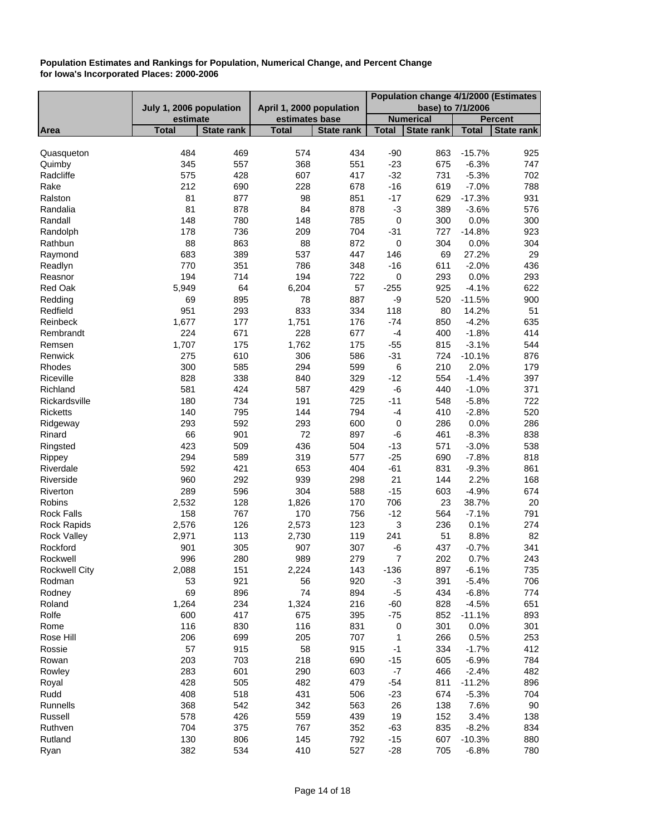|                      |                         |                   |                          |                   | Population change 4/1/2000 (Estimates |                   |              |                |
|----------------------|-------------------------|-------------------|--------------------------|-------------------|---------------------------------------|-------------------|--------------|----------------|
|                      | July 1, 2006 population |                   | April 1, 2000 population |                   | base) to 7/1/2006                     |                   |              |                |
|                      | estimate                |                   | estimates base           |                   |                                       | <b>Numerical</b>  |              | <b>Percent</b> |
| Area                 | <b>Total</b>            | <b>State rank</b> | <b>Total</b>             | <b>State rank</b> | <b>Total</b>                          | <b>State rank</b> | <b>Total</b> | State rank     |
|                      |                         |                   |                          |                   |                                       |                   |              |                |
| Quasqueton           | 484                     | 469               | 574                      | 434               | $-90$                                 | 863               | $-15.7%$     | 925            |
| Quimby               | 345                     | 557               | 368                      | 551               | $-23$                                 | 675               | $-6.3%$      | 747            |
| Radcliffe            | 575                     | 428               | 607                      | 417               | $-32$                                 | 731               | $-5.3%$      | 702            |
| Rake                 | 212                     | 690               | 228                      | 678               | $-16$                                 | 619               | $-7.0%$      | 788            |
| Ralston              | 81                      | 877               | 98                       | 851               | $-17$                                 | 629               | $-17.3%$     | 931            |
| Randalia             | 81                      | 878               | 84                       | 878               | $-3$                                  | 389               | $-3.6%$      | 576            |
| Randall              | 148                     | 780               | 148                      | 785               | $\pmb{0}$                             | 300               | 0.0%         | 300            |
| Randolph             | 178                     | 736               | 209                      | 704               | $-31$                                 | 727               | $-14.8%$     | 923            |
| Rathbun              | 88                      | 863               | 88                       | 872               | $\pmb{0}$                             | 304               | 0.0%         | 304            |
| Raymond              | 683                     | 389               | 537                      | 447               | 146                                   | 69                | 27.2%        | 29             |
| Readlyn              | 770                     | 351               | 786                      | 348               | $-16$                                 | 611               | $-2.0%$      | 436            |
| Reasnor              | 194                     | 714               | 194                      | 722               | $\pmb{0}$                             | 293               | 0.0%         | 293            |
| Red Oak              | 5,949                   | 64                | 6,204                    | 57                | $-255$                                | 925               | $-4.1%$      | 622            |
| Redding              | 69                      | 895               | 78                       | 887               | -9                                    | 520               | $-11.5%$     | 900            |
| Redfield             | 951                     | 293               | 833                      | 334               | 118                                   | 80                | 14.2%        | 51             |
| Reinbeck             | 1,677                   | 177               | 1,751                    | 176               | $-74$                                 | 850               | $-4.2%$      | 635            |
| Rembrandt            | 224                     | 671               | 228                      | 677               | $-4$                                  | 400               | $-1.8%$      | 414            |
| Remsen               | 1,707                   | 175               | 1,762                    | 175               | $-55$                                 | 815               | $-3.1%$      | 544            |
| Renwick              | 275                     | 610               | 306                      | 586               | $-31$                                 | 724               | $-10.1%$     | 876            |
| Rhodes               | 300                     | 585               | 294                      | 599               | $\,6$                                 | 210               | 2.0%         | 179            |
| Riceville            | 828                     | 338               | 840                      | 329               | $-12$                                 | 554               | $-1.4%$      | 397            |
| Richland             | 581                     | 424               | 587                      | 429               | -6                                    | 440               | $-1.0%$      | 371            |
| Rickardsville        | 180                     | 734               | 191                      | 725               | $-11$                                 | 548               | $-5.8%$      | 722            |
| <b>Ricketts</b>      | 140                     | 795               | 144                      | 794               | $-4$                                  | 410               | $-2.8%$      | 520            |
| Ridgeway             | 293                     | 592               | 293                      | 600               | $\pmb{0}$                             | 286               | 0.0%         | 286            |
| Rinard               | 66                      | 901               | 72                       | 897               | -6                                    | 461               | $-8.3%$      | 838            |
| Ringsted             | 423                     | 509               | 436                      | 504               | $-13$                                 | 571               | $-3.0%$      | 538            |
| Rippey               | 294                     | 589               | 319                      | 577               | $-25$                                 | 690               | $-7.8%$      | 818            |
| Riverdale            | 592                     | 421               | 653                      | 404               | $-61$                                 | 831               | $-9.3%$      | 861            |
| Riverside            | 960                     | 292               | 939                      | 298               | 21                                    | 144               | 2.2%         | 168            |
| Riverton             | 289                     | 596               | 304                      | 588               | $-15$                                 | 603               | $-4.9%$      | 674            |
| Robins               | 2,532                   | 128               | 1,826                    | 170               | 706                                   | 23                | 38.7%        | 20             |
| <b>Rock Falls</b>    | 158                     | 767               | 170                      | 756               | $-12$                                 | 564               | $-7.1%$      | 791            |
| <b>Rock Rapids</b>   | 2,576                   | 126               | 2,573                    | 123               | 3                                     | 236               | 0.1%         | 274            |
| <b>Rock Valley</b>   | 2,971                   | 113               | 2,730                    | 119               | 241                                   | 51                | 8.8%         | 82             |
| Rockford             | 901                     | 305               | 907                      | 307               | -6                                    | 437               | $-0.7%$      | 341            |
| Rockwell             | 996                     | 280               | 989                      | 279               | 7                                     | 202               | 0.7%         | 243            |
| <b>Rockwell City</b> | 2,088                   | 151               | 2,224                    | 143               | $-136$                                | 897               | $-6.1%$      | 735            |
| Rodman               | 53                      | 921               | 56                       | 920               | $-3$                                  | 391               | $-5.4%$      | 706            |
| Rodney               | 69                      | 896               | 74                       | 894               | $-5$                                  | 434               | $-6.8%$      | 774            |
| Roland               | 1,264                   | 234               | 1,324                    | 216               | $-60$                                 | 828               | $-4.5%$      | 651            |
| Rolfe                | 600                     | 417               | 675                      | 395               | $-75$                                 | 852               | $-11.1%$     | 893            |
| Rome                 | 116                     | 830               | 116                      | 831               | $\pmb{0}$                             | 301               | 0.0%         | 301            |
| Rose Hill            | 206                     | 699               | 205                      | 707               | 1                                     | 266               | 0.5%         | 253            |
| Rossie               | 57                      | 915               | 58                       | 915               | $-1$                                  | 334               | $-1.7%$      | 412            |
| Rowan                | 203                     | 703               | 218                      | 690               | $-15$                                 | 605               | $-6.9%$      | 784            |
| Rowley               | 283                     | 601               | 290                      | 603               | $\textnormal{-}7$                     | 466               | $-2.4%$      | 482            |
|                      | 428                     |                   | 482                      |                   |                                       |                   |              |                |
| Royal                |                         | 505               |                          | 479               | $-54$                                 | 811               | $-11.2%$     | 896            |
| Rudd                 | 408                     | 518               | 431                      | 506               | $-23$                                 | 674               | $-5.3%$      | 704            |
| Runnells             | 368                     | 542               | 342                      | 563               | 26                                    | 138               | 7.6%         | 90             |
| Russell              | 578                     | 426               | 559                      | 439               | 19                                    | 152               | 3.4%         | 138            |
| Ruthven              | 704                     | 375               | 767                      | 352               | $-63$                                 | 835               | $-8.2%$      | 834            |
| Rutland              | 130                     | 806               | 145                      | 792               | $-15$                                 | 607               | $-10.3%$     | 880            |
| Ryan                 | 382                     | 534               | 410                      | 527               | $-28$                                 | 705               | $-6.8%$      | 780            |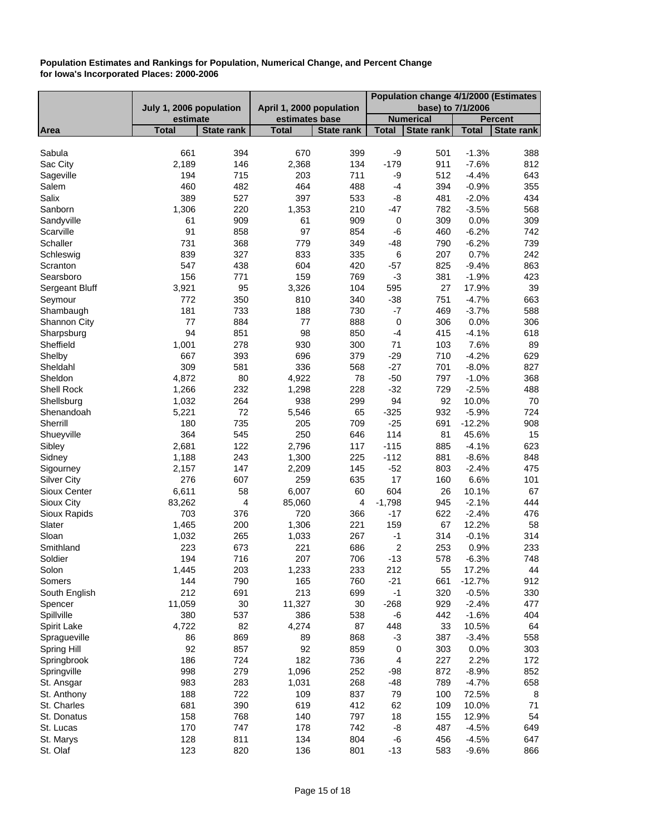|                    |                         |                   |                          |                   | Population change 4/1/2000 (Estimates |                   |              |                   |
|--------------------|-------------------------|-------------------|--------------------------|-------------------|---------------------------------------|-------------------|--------------|-------------------|
|                    | July 1, 2006 population |                   | April 1, 2000 population |                   | base) to 7/1/2006                     |                   |              |                   |
|                    | estimate                |                   | estimates base           |                   |                                       | <b>Numerical</b>  |              | Percent           |
| Area               | <b>Total</b>            | <b>State rank</b> | <b>Total</b>             | <b>State rank</b> | <b>Total</b>                          | <b>State rank</b> | <b>Total</b> | <b>State rank</b> |
|                    |                         |                   |                          |                   |                                       |                   |              |                   |
| Sabula             | 661                     | 394               | 670                      | 399               | -9                                    | 501               | $-1.3%$      | 388               |
| Sac City           | 2,189                   | 146               | 2,368                    | 134               | $-179$                                | 911               | $-7.6%$      | 812               |
| Sageville          | 194                     | 715               | 203                      | 711               | -9                                    | 512               | $-4.4%$      | 643               |
| Salem              | 460                     | 482               | 464                      | 488               | $-4$                                  | 394               | $-0.9%$      | 355               |
| Salix              | 389                     | 527               | 397                      | 533               | -8                                    | 481               | $-2.0%$      | 434               |
| Sanborn            | 1,306                   | 220               | 1,353                    | 210               | $-47$                                 | 782               | $-3.5%$      | 568               |
| Sandyville         | 61                      | 909               | 61                       | 909               | $\pmb{0}$                             | 309               | 0.0%         | 309               |
| Scarville          | 91                      | 858               | 97                       | 854               | -6                                    | 460               | $-6.2%$      | 742               |
| Schaller           | 731                     | 368               | 779                      | 349               | $-48$                                 | 790               | $-6.2%$      | 739               |
| Schleswig          | 839                     | 327               | 833                      | 335               | $\,6$                                 | 207               | 0.7%         | 242               |
| Scranton           | 547                     | 438               | 604                      | 420               | $-57$                                 | 825               | $-9.4%$      | 863               |
| Searsboro          | 156                     | 771               | 159                      | 769               | $-3$                                  | 381               | $-1.9%$      | 423               |
| Sergeant Bluff     | 3,921                   | 95                | 3,326                    | 104               | 595                                   | 27                | 17.9%        | 39                |
| Seymour            | 772                     | 350               | 810                      | 340               | $-38$                                 | 751               | $-4.7%$      | 663               |
| Shambaugh          | 181                     | 733               | 188                      | 730               | $-7$                                  | 469               | $-3.7%$      | 588               |
| Shannon City       | 77                      | 884               | 77                       | 888               | $\pmb{0}$                             | 306               | 0.0%         | 306               |
| Sharpsburg         | 94                      | 851               | 98                       | 850               | $-4$                                  | 415               | $-4.1%$      | 618               |
| Sheffield          | 1,001                   | 278               | 930                      | 300               | 71                                    | 103               | 7.6%         | 89                |
| Shelby             | 667                     | 393               | 696                      | 379               | $-29$                                 | 710               | $-4.2%$      | 629               |
| Sheldahl           | 309                     | 581               | 336                      | 568               | $-27$                                 | 701               | $-8.0%$      | 827               |
| Sheldon            | 4,872                   | 80                | 4,922                    | 78                | $-50$                                 | 797               | $-1.0%$      | 368               |
| Shell Rock         | 1,266                   | 232               | 1,298                    | 228               | $-32$                                 | 729               | $-2.5%$      | 488               |
| Shellsburg         | 1,032                   | 264               | 938                      | 299               | 94                                    | 92                | 10.0%        | 70                |
| Shenandoah         | 5,221                   | 72                | 5,546                    | 65                | $-325$                                | 932               | $-5.9%$      | 724               |
| Sherrill           | 180                     | 735               | 205                      | 709               | $-25$                                 | 691               | $-12.2%$     | 908               |
| Shueyville         | 364                     | 545               | 250                      | 646               | 114                                   | 81                | 45.6%        | 15                |
| Sibley             | 2,681                   | 122               | 2,796                    | 117               | $-115$                                | 885               | $-4.1%$      | 623               |
| Sidney             | 1,188                   | 243               | 1,300                    | 225               | $-112$                                | 881               | $-8.6%$      | 848               |
| Sigourney          | 2,157                   | 147               | 2,209                    | 145               | $-52$                                 | 803               | $-2.4%$      | 475               |
| <b>Silver City</b> | 276                     | 607               | 259                      | 635               | 17                                    | 160               | 6.6%         | 101               |
| Sioux Center       | 6,611                   | 58                | 6,007                    | 60                | 604                                   | 26                | 10.1%        | 67                |
| Sioux City         | 83,262                  | 4                 | 85,060                   | 4                 | $-1,798$                              | 945               | $-2.1%$      | 444               |
| Sioux Rapids       | 703                     | 376               | 720                      | 366               | $-17$                                 | 622               | $-2.4%$      | 476               |
| Slater             | 1,465                   | 200               | 1,306                    | 221               | 159                                   | 67                | 12.2%        | 58                |
| Sloan              | 1,032                   | 265               | 1,033                    | 267               | $-1$                                  | 314               | $-0.1%$      | 314               |
| Smithland          | 223                     | 673               | 221                      | 686               | $\overline{c}$                        | 253               | 0.9%         | 233               |
| Soldier            | 194                     | 716               | 207                      | 706               | $-13$                                 | 578               | $-6.3%$      | 748               |
| Solon              | 1,445                   | 203               | 1,233                    | 233               | 212                                   | 55                | 17.2%        | 44                |
| Somers             | 144                     | 790               | 165                      | 760               | $-21$                                 | 661               | $-12.7%$     | 912               |
| South English      | 212                     | 691               | 213                      | 699               | $-1$                                  | 320               | $-0.5%$      | 330               |
| Spencer            | 11,059                  | 30                | 11,327                   | 30                | $-268$                                | 929               | $-2.4%$      | 477               |
| Spillville         | 380                     | 537               | 386                      | 538               | -6                                    | 442               | $-1.6%$      | 404               |
| Spirit Lake        | 4,722                   | 82                | 4,274                    | 87                | 448                                   | 33                | 10.5%        | 64                |
| Spragueville       | 86                      | 869               | 89                       | 868               | -3                                    | 387               | $-3.4%$      | 558               |
| Spring Hill        | 92                      | 857               | 92                       | 859               | $\pmb{0}$                             | 303               | 0.0%         | 303               |
| Springbrook        | 186                     | 724               | 182                      | 736               | 4                                     | 227               | 2.2%         | 172               |
| Springville        | 998                     | 279               | 1,096                    | 252               | $-98$                                 | 872               | $-8.9%$      | 852               |
| St. Ansgar         | 983                     | 283               | 1,031                    | 268               | $-48$                                 | 789               | $-4.7%$      | 658               |
| St. Anthony        | 188                     | 722               | 109                      | 837               | 79                                    | 100               | 72.5%        | 8                 |
| St. Charles        | 681                     | 390               | 619                      | 412               | 62                                    | 109               | 10.0%        | 71                |
| St. Donatus        | 158                     | 768               | 140                      | 797               | 18                                    | 155               | 12.9%        | 54                |
| St. Lucas          | 170                     | 747               | 178                      | 742               | -8                                    | 487               | $-4.5%$      | 649               |
| St. Marys          | 128                     | 811               | 134                      | 804               | -6                                    | 456               | $-4.5%$      | 647               |
| St. Olaf           | 123                     | 820               | 136                      | 801               | $-13$                                 | 583               | $-9.6%$      | 866               |
|                    |                         |                   |                          |                   |                                       |                   |              |                   |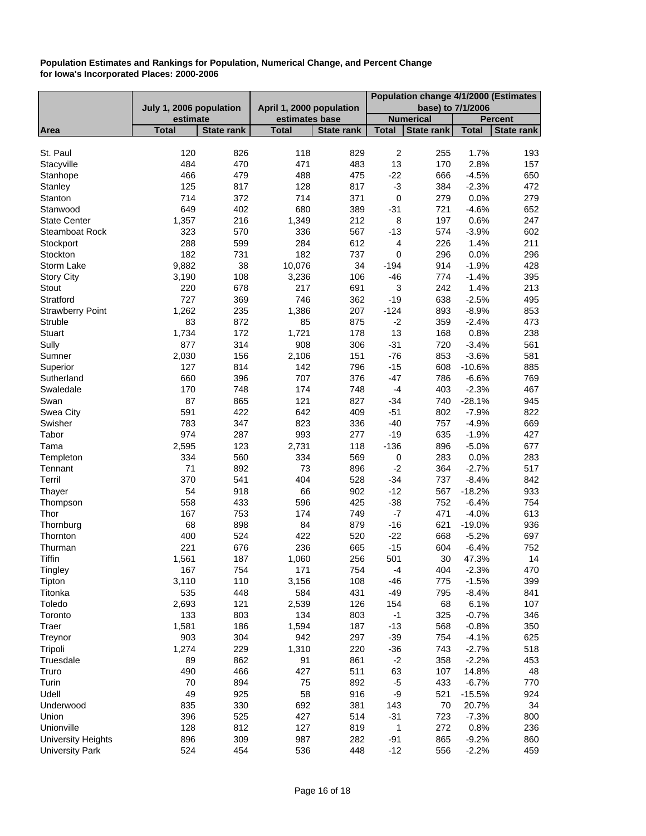|                           |                         |                   |                          |                   |                           | Population change 4/1/2000 (Estimates |              |                   |
|---------------------------|-------------------------|-------------------|--------------------------|-------------------|---------------------------|---------------------------------------|--------------|-------------------|
|                           | July 1, 2006 population |                   | April 1, 2000 population |                   | base) to 7/1/2006         |                                       |              |                   |
|                           | estimate                |                   | estimates base           |                   |                           | <b>Numerical</b>                      |              | <b>Percent</b>    |
| Area                      | <b>Total</b>            | <b>State rank</b> | <b>Total</b>             | <b>State rank</b> | <b>Total</b>              | <b>State rank</b>                     | <b>Total</b> | <b>State rank</b> |
|                           |                         |                   |                          |                   |                           |                                       |              |                   |
| St. Paul                  | 120                     | 826               | 118                      | 829               | $\boldsymbol{2}$          | 255                                   | 1.7%         | 193               |
| Stacyville                | 484                     | 470               | 471                      | 483               | 13                        | 170                                   | 2.8%         | 157               |
| Stanhope                  | 466                     | 479               | 488                      | 475               | $-22$                     | 666                                   | $-4.5%$      | 650               |
| Stanley                   | 125                     | 817               | 128                      | 817               | $-3$                      | 384                                   | $-2.3%$      | 472               |
| Stanton                   | 714                     | 372               | 714                      | 371               | $\mathbf 0$               | 279                                   | 0.0%         | 279               |
| Stanwood                  | 649                     | 402               | 680                      | 389               | $-31$                     | 721                                   | $-4.6%$      | 652               |
| <b>State Center</b>       | 1,357                   | 216               | 1,349                    | 212               | 8                         | 197                                   | 0.6%         | 247               |
| <b>Steamboat Rock</b>     | 323                     | 570               | 336                      | 567               | $-13$                     | 574                                   | $-3.9%$      | 602               |
| Stockport                 | 288                     | 599               | 284                      | 612               | $\overline{\mathbf{4}}$   | 226                                   | 1.4%         | 211               |
| Stockton                  | 182                     | 731               | 182                      | 737               | $\mathbf 0$               | 296                                   | 0.0%         | 296               |
| Storm Lake                | 9,882                   | 38                | 10,076                   | 34                | $-194$                    | 914                                   | $-1.9%$      | 428               |
| <b>Story City</b>         | 3,190                   | 108               | 3,236                    | 106               | $-46$                     | 774                                   | $-1.4%$      | 395               |
| Stout                     | 220                     | 678               | 217                      | 691               | $\ensuremath{\mathsf{3}}$ | 242                                   | 1.4%         | 213               |
| Stratford                 | 727                     | 369               | 746                      | 362               | $-19$                     | 638                                   | $-2.5%$      | 495               |
| <b>Strawberry Point</b>   | 1,262                   | 235               | 1,386                    | 207               | $-124$                    | 893                                   | $-8.9%$      | 853               |
| Struble                   | 83                      | 872               | 85                       | 875               | $-2$                      | 359                                   | $-2.4%$      | 473               |
| Stuart                    | 1,734                   | 172               | 1,721                    | 178               | 13                        | 168                                   | 0.8%         | 238               |
|                           |                         |                   |                          |                   |                           |                                       |              |                   |
| Sully                     | 877                     | 314               | 908                      | 306               | $-31$                     | 720                                   | $-3.4%$      | 561               |
| Sumner                    | 2,030                   | 156               | 2,106                    | 151               | $-76$                     | 853                                   | $-3.6%$      | 581               |
| Superior                  | 127                     | 814               | 142                      | 796               | $-15$                     | 608                                   | $-10.6%$     | 885               |
| Sutherland                | 660                     | 396               | 707                      | 376               | $-47$                     | 786                                   | $-6.6%$      | 769               |
| Swaledale                 | 170                     | 748               | 174                      | 748               | $-4$                      | 403                                   | $-2.3%$      | 467               |
| Swan                      | 87                      | 865               | 121                      | 827               | $-34$                     | 740                                   | $-28.1%$     | 945               |
| Swea City                 | 591                     | 422               | 642                      | 409               | $-51$                     | 802                                   | $-7.9%$      | 822               |
| Swisher                   | 783                     | 347               | 823                      | 336               | $-40$                     | 757                                   | $-4.9%$      | 669               |
| Tabor                     | 974                     | 287               | 993                      | 277               | $-19$                     | 635                                   | $-1.9%$      | 427               |
| Tama                      | 2,595                   | 123               | 2,731                    | 118               | $-136$                    | 896                                   | $-5.0%$      | 677               |
| Templeton                 | 334                     | 560               | 334                      | 569               | 0                         | 283                                   | 0.0%         | 283               |
| Tennant                   | 71                      | 892               | 73                       | 896               | $-2$                      | 364                                   | $-2.7%$      | 517               |
| Terril                    | 370                     | 541               | 404                      | 528               | $-34$                     | 737                                   | $-8.4%$      | 842               |
| Thayer                    | 54                      | 918               | 66                       | 902               | $-12$                     | 567                                   | $-18.2%$     | 933               |
| Thompson                  | 558                     | 433               | 596                      | 425               | $-38$                     | 752                                   | $-6.4%$      | 754               |
| Thor                      | 167                     | 753               | 174                      | 749               | $-7$                      | 471                                   | $-4.0%$      | 613               |
| Thornburg                 | 68                      | 898               | 84                       | 879               | $-16$                     | 621                                   | $-19.0%$     | 936               |
| Thornton                  | 400                     | 524               | 422                      | 520               | $-22$                     | 668                                   | $-5.2%$      | 697               |
| Thurman                   | 221                     | 676               | 236                      | 665               | $-15$                     | 604                                   | $-6.4%$      | 752               |
| Tiffin                    | 1,561                   | 187               | 1,060                    | 256               | 501                       | 30                                    | 47.3%        | 14                |
| Tingley                   | 167                     | 754               | 171                      | 754               | $-4$                      | 404                                   | $-2.3%$      | 470               |
| Tipton                    | 3,110                   | 110               | 3,156                    | 108               | $-46$                     | 775                                   | $-1.5%$      | 399               |
| Titonka                   | 535                     | 448               | 584                      | 431               | $-49$                     | 795                                   | $-8.4%$      | 841               |
|                           | 2,693                   | 121               | 2,539                    | 126               |                           |                                       | 6.1%         | 107               |
| Toledo                    | 133                     | 803               | 134                      |                   | 154<br>$-1$               | 68                                    |              |                   |
| Toronto                   |                         |                   |                          | 803               |                           | 325                                   | $-0.7%$      | 346               |
| Traer                     | 1,581                   | 186               | 1,594                    | 187               | $-13$                     | 568                                   | $-0.8%$      | 350               |
| Treynor                   | 903                     | 304               | 942                      | 297               | $-39$                     | 754                                   | $-4.1%$      | 625               |
| Tripoli                   | 1,274                   | 229               | 1,310                    | 220               | $-36$                     | 743                                   | $-2.7%$      | 518               |
| Truesdale                 | 89                      | 862               | 91                       | 861               | $-2$                      | 358                                   | $-2.2%$      | 453               |
| Truro                     | 490                     | 466               | 427                      | 511               | 63                        | 107                                   | 14.8%        | 48                |
| Turin                     | 70                      | 894               | 75                       | 892               | $-5$                      | 433                                   | $-6.7%$      | 770               |
| Udell                     | 49                      | 925               | 58                       | 916               | -9                        | 521                                   | $-15.5%$     | 924               |
| Underwood                 | 835                     | 330               | 692                      | 381               | 143                       | 70                                    | 20.7%        | 34                |
| Union                     | 396                     | 525               | 427                      | 514               | $-31$                     | 723                                   | $-7.3%$      | 800               |
| Unionville                | 128                     | 812               | 127                      | 819               | 1                         | 272                                   | 0.8%         | 236               |
| <b>University Heights</b> | 896                     | 309               | 987                      | 282               | $-91$                     | 865                                   | $-9.2%$      | 860               |
| <b>University Park</b>    | 524                     | 454               | 536                      | 448               | $-12$                     | 556                                   | $-2.2%$      | 459               |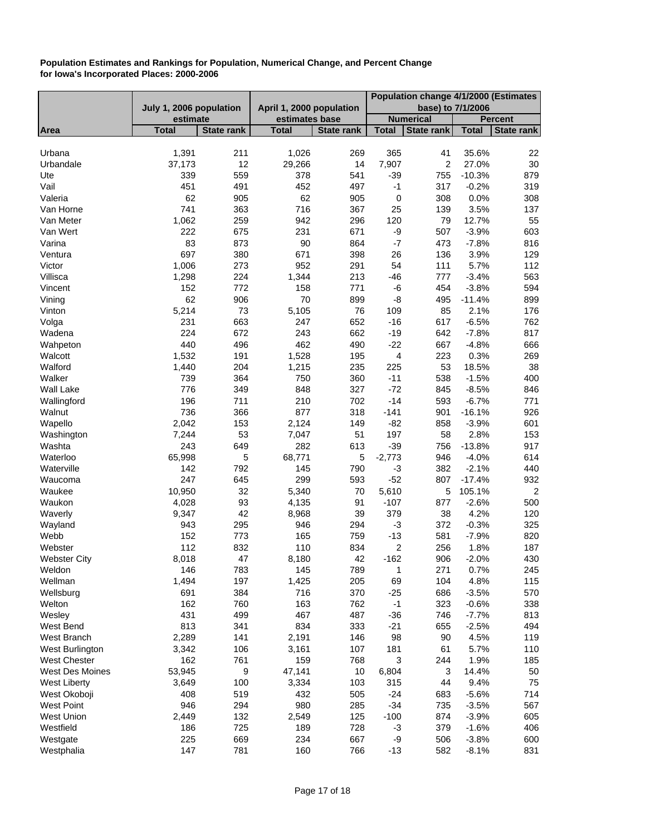|                        |                         |                   |                          |                   | Population change 4/1/2000 (Estimates |                   |                   |                   |
|------------------------|-------------------------|-------------------|--------------------------|-------------------|---------------------------------------|-------------------|-------------------|-------------------|
|                        | July 1, 2006 population |                   | April 1, 2000 population |                   | base) to 7/1/2006                     |                   |                   |                   |
|                        | estimate                |                   | estimates base           |                   |                                       | <b>Numerical</b>  |                   | <b>Percent</b>    |
| Area                   | <b>Total</b>            | <b>State rank</b> | <b>Total</b>             | <b>State rank</b> | <b>Total</b>                          | <b>State rank</b> | <b>Total</b>      | <b>State rank</b> |
| Urbana                 | 1,391                   | 211               | 1,026                    | 269               | 365                                   | 41                | 35.6%             | 22                |
| Urbandale              | 37,173                  | 12                | 29,266                   | 14                | 7,907                                 | 2                 | 27.0%             | 30                |
| Ute                    | 339                     | 559               | 378                      | 541               | $-39$                                 | 755               | $-10.3%$          | 879               |
| Vail                   | 451                     | 491               | 452                      | 497               | $-1$                                  | 317               | $-0.2%$           | 319               |
| Valeria                | 62                      | 905               | 62                       | 905               | $\pmb{0}$                             | 308               | 0.0%              | 308               |
| Van Horne              | 741                     | 363               | 716                      | 367               | 25                                    | 139               | 3.5%              | 137               |
| Van Meter              | 1,062                   | 259               | 942                      | 296               | 120                                   | 79                | 12.7%             | 55                |
| Van Wert               | 222                     | 675               | 231                      | 671               | -9                                    | 507               | $-3.9%$           | 603               |
| Varina                 | 83                      | 873               | 90                       | 864               | $-7$                                  | 473               | $-7.8%$           | 816               |
| Ventura                | 697                     | 380               | 671                      | 398               | 26                                    | 136               | 3.9%              | 129               |
| Victor                 | 1,006                   | 273               | 952                      | 291               | 54                                    | 111               | 5.7%              | 112               |
| Villisca               | 1,298                   | 224               | 1,344                    | 213               | $-46$                                 | 777               | $-3.4%$           | 563               |
| Vincent                | 152                     | 772               | 158                      | 771               | -6                                    | 454               | $-3.8%$           | 594               |
| Vining                 | 62                      | 906               | 70                       | 899               | -8                                    | 495               | $-11.4%$          | 899               |
| Vinton                 | 5,214                   | 73                | 5,105                    | 76                | 109                                   | 85                | 2.1%              | 176               |
| Volga                  | 231                     | 663               | 247                      | 652               | $-16$                                 | 617               | $-6.5%$           | 762               |
| Wadena                 | 224                     | 672               | 243                      | 662               | $-19$                                 | 642               | $-7.8%$           | 817               |
| Wahpeton               | 440                     | 496               | 462                      | 490               | $-22$                                 | 667               | $-4.8%$           | 666               |
| Walcott                | 1,532                   | 191               | 1,528                    | 195               | $\overline{\mathbf{4}}$               | 223               | 0.3%              | 269               |
| Walford                | 1,440                   | 204               | 1,215                    | 235               | 225                                   | 53                | 18.5%             | 38                |
| Walker                 | 739                     | 364               | 750                      | 360               | $-11$                                 | 538               | $-1.5%$           | 400               |
| <b>Wall Lake</b>       | 776                     | 349               | 848                      | 327               | $-72$                                 | 845               | $-8.5%$           | 846               |
| Wallingford            | 196                     | 711               | 210                      | 702               | $-14$                                 | 593               | $-6.7%$           | 771               |
| Walnut                 | 736                     | 366               | 877                      | 318               | $-141$                                | 901               | $-16.1%$          | 926               |
| Wapello                | 2,042                   | 153               | 2,124                    | 149               | $-82$                                 | 858               | $-3.9%$           | 601               |
| Washington             | 7,244                   | 53                | 7,047                    | 51                | 197                                   | 58                | 2.8%              | 153               |
| Washta                 | 243                     | 649               | 282                      | 613               | $-39$                                 | 756               | $-13.8%$          | 917               |
| Waterloo               | 65,998                  | 5                 | 68,771                   | 5                 | $-2,773$                              | 946               | $-4.0%$           | 614               |
| Waterville             | 142                     | 792               | 145                      | 790               | $-3$                                  | 382               | $-2.1%$           | 440               |
| Waucoma                | 247                     | 645               | 299                      | 593               | $-52$                                 | 807               | $-17.4%$          | 932               |
| Waukee                 | 10,950                  | 32<br>93          | 5,340                    | 70<br>91          | 5,610                                 | 5                 | 105.1%<br>$-2.6%$ | $\overline{c}$    |
| Waukon                 | 4,028                   | 42                | 4,135                    | 39                | $-107$                                | 877<br>38         | 4.2%              | 500               |
| Waverly                | 9,347<br>943            |                   | 8,968                    |                   | 379                                   |                   | $-0.3%$           | 120               |
| Wayland<br>Webb        | 152                     | 295<br>773        | 946<br>165               | 294<br>759        | $-3$<br>$-13$                         | 372<br>581        | $-7.9%$           | 325<br>820        |
| Webster                | 112                     | 832               | 110                      | 834               | $\sqrt{2}$                            | 256               | 1.8%              | 187               |
| <b>Webster City</b>    | 8,018                   | 47                | 8,180                    | 42                | $-162$                                | 906               | $-2.0%$           | 430               |
| Weldon                 | 146                     | 783               | 145                      | 789               | 1                                     | 271               | 0.7%              | 245               |
| Wellman                | 1,494                   | 197               | 1,425                    | 205               | 69                                    | 104               | 4.8%              | 115               |
| Wellsburg              | 691                     | 384               | 716                      | 370               | $-25$                                 | 686               | $-3.5%$           | 570               |
| Welton                 | 162                     | 760               | 163                      | 762               | $-1$                                  | 323               | $-0.6%$           | 338               |
| Wesley                 | 431                     | 499               | 467                      | 487               | $-36$                                 | 746               | $-7.7%$           | 813               |
| West Bend              | 813                     | 341               | 834                      | 333               | $-21$                                 | 655               | $-2.5%$           | 494               |
| West Branch            | 2,289                   | 141               | 2,191                    | 146               | 98                                    | 90                | 4.5%              | 119               |
| West Burlington        | 3,342                   | 106               | 3,161                    | 107               | 181                                   | 61                | 5.7%              | 110               |
| <b>West Chester</b>    | 162                     | 761               | 159                      | 768               | $\sqrt{3}$                            | 244               | 1.9%              | 185               |
| <b>West Des Moines</b> | 53,945                  | 9                 | 47,141                   | 10                | 6,804                                 | 3                 | 14.4%             | 50                |
| <b>West Liberty</b>    | 3,649                   | 100               | 3,334                    | 103               | 315                                   | 44                | 9.4%              | 75                |
| West Okoboji           | 408                     | 519               | 432                      | 505               | $-24$                                 | 683               | $-5.6%$           | 714               |
| <b>West Point</b>      | 946                     | 294               | 980                      | 285               | $-34$                                 | 735               | $-3.5%$           | 567               |
| <b>West Union</b>      | 2,449                   | 132               | 2,549                    | 125               | $-100$                                | 874               | $-3.9%$           | 605               |
| Westfield              | 186                     | 725               | 189                      | 728               | $-3$                                  | 379               | $-1.6%$           | 406               |
| Westgate               | 225                     | 669               | 234                      | 667               | -9                                    | 506               | $-3.8%$           | 600               |
| Westphalia             | 147                     | 781               | 160                      | 766               | $-13$                                 | 582               | $-8.1%$           | 831               |